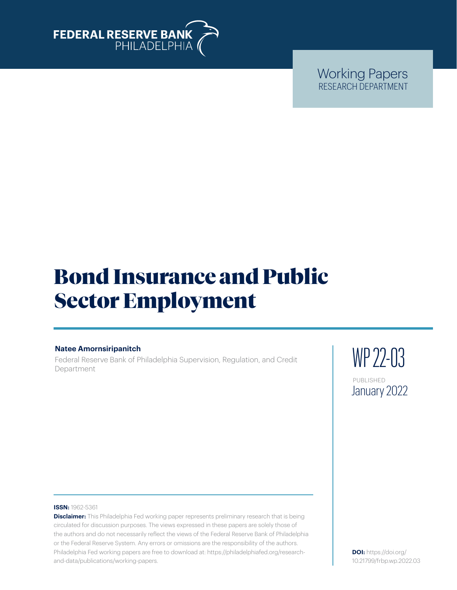

Working Papers RESEARCH DEPARTMENT

# Bond Insurance and Public Sector Employment

# **Natee Amornsiripanitch**

Federal Reserve Bank of Philadelphia Supervision, Regulation, and Credit Department

WP 22-03 PUBLISHED January 2022

#### **ISSN:** 1962-5361

**Disclaimer:** This Philadelphia Fed working paper represents preliminary research that is being circulated for discussion purposes. The views expressed in these papers are solely those of the authors and do not necessarily reflect the views of the Federal Reserve Bank of Philadelphia or the Federal Reserve System. Any errors or omissions are the responsibility of the authors. Philadelphia Fed working papers are free to download at: [https://philadelphiafed.org/research](https://philadelphiafed.org/research-and-data/publications/working-papers)[and-data/publications/working-papers](https://philadelphiafed.org/research-and-data/publications/working-papers).

**DOI:** [https://doi.org/](https://doi.org/
10.21799/frbp.wp.2022.03) [10.21799/frbp.wp.2022.03](https://doi.org/
10.21799/frbp.wp.2022.03)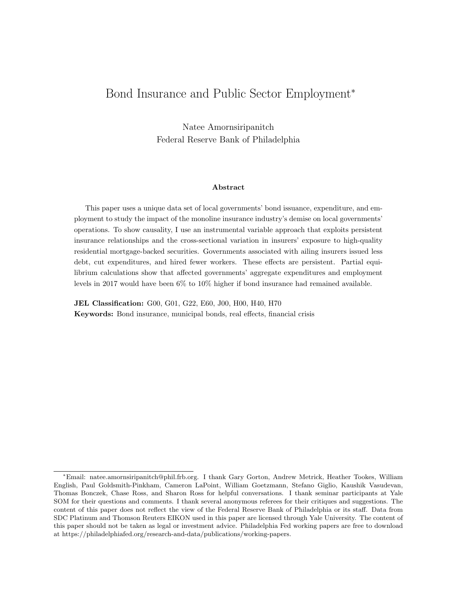# Bond Insurance and Public Sector Employment<sup>∗</sup>

Natee Amornsiripanitch Federal Reserve Bank of Philadelphia

#### Abstract

This paper uses a unique data set of local governments' bond issuance, expenditure, and employment to study the impact of the monoline insurance industry's demise on local governments' operations. To show causality, I use an instrumental variable approach that exploits persistent insurance relationships and the cross-sectional variation in insurers' exposure to high-quality residential mortgage-backed securities. Governments associated with ailing insurers issued less debt, cut expenditures, and hired fewer workers. These effects are persistent. Partial equilibrium calculations show that affected governments' aggregate expenditures and employment levels in 2017 would have been 6% to 10% higher if bond insurance had remained available.

JEL Classification: G00, G01, G22, E60, J00, H00, H40, H70 Keywords: Bond insurance, municipal bonds, real effects, financial crisis

<sup>∗</sup>Email: natee.amornsiripanitch@phil.frb.org. I thank Gary Gorton, Andrew Metrick, Heather Tookes, William English, Paul Goldsmith-Pinkham, Cameron LaPoint, William Goetzmann, Stefano Giglio, Kaushik Vasudevan, Thomas Bonczek, Chase Ross, and Sharon Ross for helpful conversations. I thank seminar participants at Yale SOM for their questions and comments. I thank several anonymous referees for their critiques and suggestions. The content of this paper does not reflect the view of the Federal Reserve Bank of Philadelphia or its staff. Data from SDC Platinum and Thomson Reuters EIKON used in this paper are licensed through Yale University. The content of this paper should not be taken as legal or investment advice. Philadelphia Fed working papers are free to download at https://philadelphiafed.org/research-and-data/publications/working-papers.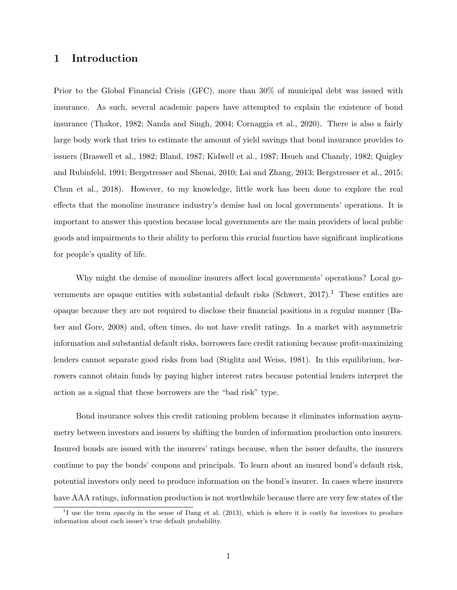# 1 Introduction

Prior to the Global Financial Crisis (GFC), more than 30% of municipal debt was issued with insurance. As such, several academic papers have attempted to explain the existence of bond insurance (Thakor, 1982; Nanda and Singh, 2004; Cornaggia et al., 2020). There is also a fairly large body work that tries to estimate the amount of yield savings that bond insurance provides to issuers (Braswell et al., 1982; Bland, 1987; Kidwell et al., 1987; Hsueh and Chandy, 1982; Quigley and Rubinfeld, 1991; Bergstresser and Shenai, 2010; Lai and Zhang, 2013; Bergstresser et al., 2015; Chun et al., 2018). However, to my knowledge, little work has been done to explore the real effects that the monoline insurance industry's demise had on local governments' operations. It is important to answer this question because local governments are the main providers of local public goods and impairments to their ability to perform this crucial function have significant implications for people's quality of life.

Why might the demise of monoline insurers affect local governments' operations? Local governments are opaque entities with substantial default risks (Schwert,  $2017$ ).<sup>1</sup> These entities are opaque because they are not required to disclose their financial positions in a regular manner (Baber and Gore, 2008) and, often times, do not have credit ratings. In a market with asymmetric information and substantial default risks, borrowers face credit rationing because profit-maximizing lenders cannot separate good risks from bad (Stiglitz and Weiss, 1981). In this equilibrium, borrowers cannot obtain funds by paying higher interest rates because potential lenders interpret the action as a signal that these borrowers are the "bad risk" type.

Bond insurance solves this credit rationing problem because it eliminates information asymmetry between investors and issuers by shifting the burden of information production onto insurers. Insured bonds are issued with the insurers' ratings because, when the issuer defaults, the insurers continue to pay the bonds' coupons and principals. To learn about an insured bond's default risk, potential investors only need to produce information on the bond's insurer. In cases where insurers have AAA ratings, information production is not worthwhile because there are very few states of the

<sup>&</sup>lt;sup>1</sup>I use the term *opacity* in the sense of Dang et al. (2013), which is where it is costly for investors to produce information about each issuer's true default probability.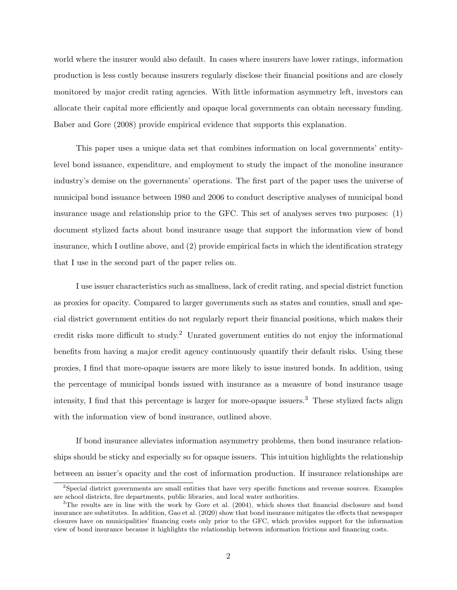world where the insurer would also default. In cases where insurers have lower ratings, information production is less costly because insurers regularly disclose their financial positions and are closely monitored by major credit rating agencies. With little information asymmetry left, investors can allocate their capital more efficiently and opaque local governments can obtain necessary funding. Baber and Gore (2008) provide empirical evidence that supports this explanation.

This paper uses a unique data set that combines information on local governments' entitylevel bond issuance, expenditure, and employment to study the impact of the monoline insurance industry's demise on the governments' operations. The first part of the paper uses the universe of municipal bond issuance between 1980 and 2006 to conduct descriptive analyses of municipal bond insurance usage and relationship prior to the GFC. This set of analyses serves two purposes: (1) document stylized facts about bond insurance usage that support the information view of bond insurance, which I outline above, and (2) provide empirical facts in which the identification strategy that I use in the second part of the paper relies on.

I use issuer characteristics such as smallness, lack of credit rating, and special district function as proxies for opacity. Compared to larger governments such as states and counties, small and special district government entities do not regularly report their financial positions, which makes their credit risks more difficult to study.<sup>2</sup> Unrated government entities do not enjoy the informational benefits from having a major credit agency continuously quantify their default risks. Using these proxies, I find that more-opaque issuers are more likely to issue insured bonds. In addition, using the percentage of municipal bonds issued with insurance as a measure of bond insurance usage intensity, I find that this percentage is larger for more-opaque issuers.<sup>3</sup> These stylized facts align with the information view of bond insurance, outlined above.

If bond insurance alleviates information asymmetry problems, then bond insurance relationships should be sticky and especially so for opaque issuers. This intuition highlights the relationship between an issuer's opacity and the cost of information production. If insurance relationships are

<sup>&</sup>lt;sup>2</sup>Special district governments are small entities that have very specific functions and revenue sources. Examples are school districts, fire departments, public libraries, and local water authorities.

<sup>&</sup>lt;sup>3</sup>The results are in line with the work by Gore et al. (2004), which shows that financial disclosure and bond insurance are substitutes. In addition, Gao et al. (2020) show that bond insurance mitigates the effects that newspaper closures have on municipalities' financing costs only prior to the GFC, which provides support for the information view of bond insurance because it highlights the relationship between information frictions and financing costs.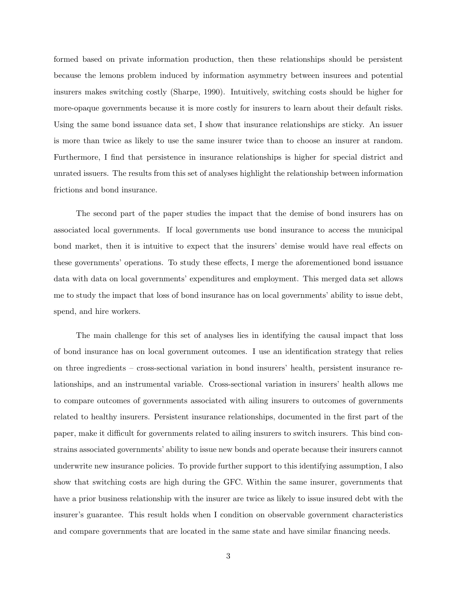formed based on private information production, then these relationships should be persistent because the lemons problem induced by information asymmetry between insurees and potential insurers makes switching costly (Sharpe, 1990). Intuitively, switching costs should be higher for more-opaque governments because it is more costly for insurers to learn about their default risks. Using the same bond issuance data set, I show that insurance relationships are sticky. An issuer is more than twice as likely to use the same insurer twice than to choose an insurer at random. Furthermore, I find that persistence in insurance relationships is higher for special district and unrated issuers. The results from this set of analyses highlight the relationship between information frictions and bond insurance.

The second part of the paper studies the impact that the demise of bond insurers has on associated local governments. If local governments use bond insurance to access the municipal bond market, then it is intuitive to expect that the insurers' demise would have real effects on these governments' operations. To study these effects, I merge the aforementioned bond issuance data with data on local governments' expenditures and employment. This merged data set allows me to study the impact that loss of bond insurance has on local governments' ability to issue debt, spend, and hire workers.

The main challenge for this set of analyses lies in identifying the causal impact that loss of bond insurance has on local government outcomes. I use an identification strategy that relies on three ingredients – cross-sectional variation in bond insurers' health, persistent insurance relationships, and an instrumental variable. Cross-sectional variation in insurers' health allows me to compare outcomes of governments associated with ailing insurers to outcomes of governments related to healthy insurers. Persistent insurance relationships, documented in the first part of the paper, make it difficult for governments related to ailing insurers to switch insurers. This bind constrains associated governments' ability to issue new bonds and operate because their insurers cannot underwrite new insurance policies. To provide further support to this identifying assumption, I also show that switching costs are high during the GFC. Within the same insurer, governments that have a prior business relationship with the insurer are twice as likely to issue insured debt with the insurer's guarantee. This result holds when I condition on observable government characteristics and compare governments that are located in the same state and have similar financing needs.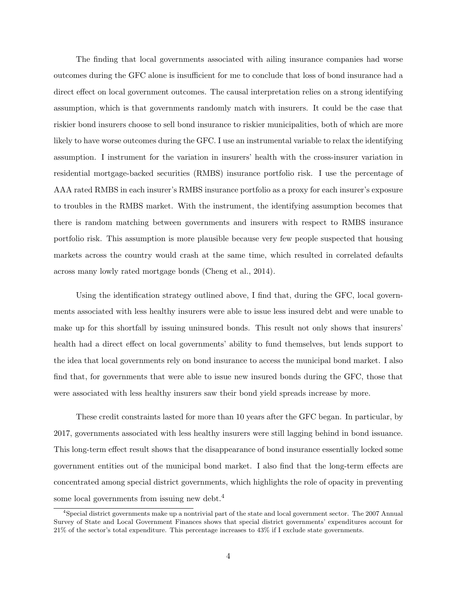The finding that local governments associated with ailing insurance companies had worse outcomes during the GFC alone is insufficient for me to conclude that loss of bond insurance had a direct effect on local government outcomes. The causal interpretation relies on a strong identifying assumption, which is that governments randomly match with insurers. It could be the case that riskier bond insurers choose to sell bond insurance to riskier municipalities, both of which are more likely to have worse outcomes during the GFC. I use an instrumental variable to relax the identifying assumption. I instrument for the variation in insurers' health with the cross-insurer variation in residential mortgage-backed securities (RMBS) insurance portfolio risk. I use the percentage of AAA rated RMBS in each insurer's RMBS insurance portfolio as a proxy for each insurer's exposure to troubles in the RMBS market. With the instrument, the identifying assumption becomes that there is random matching between governments and insurers with respect to RMBS insurance portfolio risk. This assumption is more plausible because very few people suspected that housing markets across the country would crash at the same time, which resulted in correlated defaults across many lowly rated mortgage bonds (Cheng et al., 2014).

Using the identification strategy outlined above, I find that, during the GFC, local governments associated with less healthy insurers were able to issue less insured debt and were unable to make up for this shortfall by issuing uninsured bonds. This result not only shows that insurers' health had a direct effect on local governments' ability to fund themselves, but lends support to the idea that local governments rely on bond insurance to access the municipal bond market. I also find that, for governments that were able to issue new insured bonds during the GFC, those that were associated with less healthy insurers saw their bond yield spreads increase by more.

These credit constraints lasted for more than 10 years after the GFC began. In particular, by 2017, governments associated with less healthy insurers were still lagging behind in bond issuance. This long-term effect result shows that the disappearance of bond insurance essentially locked some government entities out of the municipal bond market. I also find that the long-term effects are concentrated among special district governments, which highlights the role of opacity in preventing some local governments from issuing new debt.<sup>4</sup>

<sup>4</sup>Special district governments make up a nontrivial part of the state and local government sector. The 2007 Annual Survey of State and Local Government Finances shows that special district governments' expenditures account for 21% of the sector's total expenditure. This percentage increases to 43% if I exclude state governments.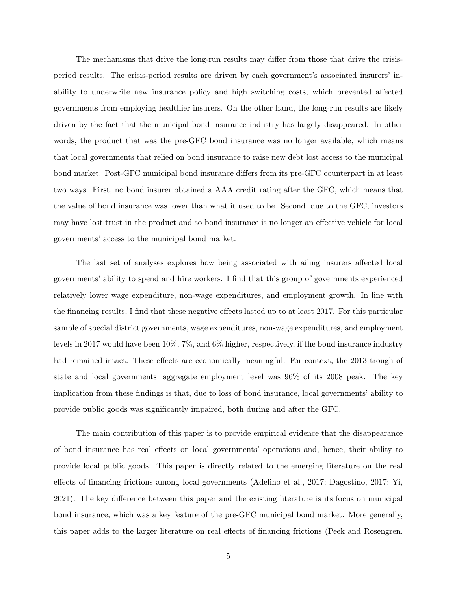The mechanisms that drive the long-run results may differ from those that drive the crisisperiod results. The crisis-period results are driven by each government's associated insurers' inability to underwrite new insurance policy and high switching costs, which prevented affected governments from employing healthier insurers. On the other hand, the long-run results are likely driven by the fact that the municipal bond insurance industry has largely disappeared. In other words, the product that was the pre-GFC bond insurance was no longer available, which means that local governments that relied on bond insurance to raise new debt lost access to the municipal bond market. Post-GFC municipal bond insurance differs from its pre-GFC counterpart in at least two ways. First, no bond insurer obtained a AAA credit rating after the GFC, which means that the value of bond insurance was lower than what it used to be. Second, due to the GFC, investors may have lost trust in the product and so bond insurance is no longer an effective vehicle for local governments' access to the municipal bond market.

The last set of analyses explores how being associated with ailing insurers affected local governments' ability to spend and hire workers. I find that this group of governments experienced relatively lower wage expenditure, non-wage expenditures, and employment growth. In line with the financing results, I find that these negative effects lasted up to at least 2017. For this particular sample of special district governments, wage expenditures, non-wage expenditures, and employment levels in 2017 would have been 10%, 7%, and 6% higher, respectively, if the bond insurance industry had remained intact. These effects are economically meaningful. For context, the 2013 trough of state and local governments' aggregate employment level was 96% of its 2008 peak. The key implication from these findings is that, due to loss of bond insurance, local governments' ability to provide public goods was significantly impaired, both during and after the GFC.

The main contribution of this paper is to provide empirical evidence that the disappearance of bond insurance has real effects on local governments' operations and, hence, their ability to provide local public goods. This paper is directly related to the emerging literature on the real effects of financing frictions among local governments (Adelino et al., 2017; Dagostino, 2017; Yi, 2021). The key difference between this paper and the existing literature is its focus on municipal bond insurance, which was a key feature of the pre-GFC municipal bond market. More generally, this paper adds to the larger literature on real effects of financing frictions (Peek and Rosengren,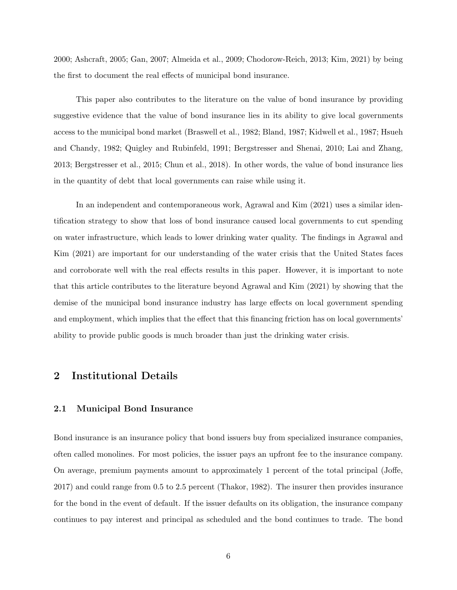2000; Ashcraft, 2005; Gan, 2007; Almeida et al., 2009; Chodorow-Reich, 2013; Kim, 2021) by being the first to document the real effects of municipal bond insurance.

This paper also contributes to the literature on the value of bond insurance by providing suggestive evidence that the value of bond insurance lies in its ability to give local governments access to the municipal bond market (Braswell et al., 1982; Bland, 1987; Kidwell et al., 1987; Hsueh and Chandy, 1982; Quigley and Rubinfeld, 1991; Bergstresser and Shenai, 2010; Lai and Zhang, 2013; Bergstresser et al., 2015; Chun et al., 2018). In other words, the value of bond insurance lies in the quantity of debt that local governments can raise while using it.

In an independent and contemporaneous work, Agrawal and Kim (2021) uses a similar identification strategy to show that loss of bond insurance caused local governments to cut spending on water infrastructure, which leads to lower drinking water quality. The findings in Agrawal and Kim (2021) are important for our understanding of the water crisis that the United States faces and corroborate well with the real effects results in this paper. However, it is important to note that this article contributes to the literature beyond Agrawal and Kim (2021) by showing that the demise of the municipal bond insurance industry has large effects on local government spending and employment, which implies that the effect that this financing friction has on local governments' ability to provide public goods is much broader than just the drinking water crisis.

# 2 Institutional Details

## 2.1 Municipal Bond Insurance

Bond insurance is an insurance policy that bond issuers buy from specialized insurance companies, often called monolines. For most policies, the issuer pays an upfront fee to the insurance company. On average, premium payments amount to approximately 1 percent of the total principal (Joffe, 2017) and could range from 0.5 to 2.5 percent (Thakor, 1982). The insurer then provides insurance for the bond in the event of default. If the issuer defaults on its obligation, the insurance company continues to pay interest and principal as scheduled and the bond continues to trade. The bond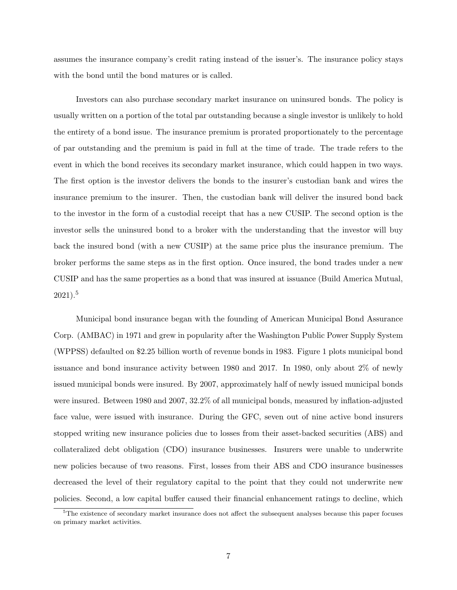assumes the insurance company's credit rating instead of the issuer's. The insurance policy stays with the bond until the bond matures or is called.

Investors can also purchase secondary market insurance on uninsured bonds. The policy is usually written on a portion of the total par outstanding because a single investor is unlikely to hold the entirety of a bond issue. The insurance premium is prorated proportionately to the percentage of par outstanding and the premium is paid in full at the time of trade. The trade refers to the event in which the bond receives its secondary market insurance, which could happen in two ways. The first option is the investor delivers the bonds to the insurer's custodian bank and wires the insurance premium to the insurer. Then, the custodian bank will deliver the insured bond back to the investor in the form of a custodial receipt that has a new CUSIP. The second option is the investor sells the uninsured bond to a broker with the understanding that the investor will buy back the insured bond (with a new CUSIP) at the same price plus the insurance premium. The broker performs the same steps as in the first option. Once insured, the bond trades under a new CUSIP and has the same properties as a bond that was insured at issuance (Build America Mutual, 2021).<sup>5</sup>

Municipal bond insurance began with the founding of American Municipal Bond Assurance Corp. (AMBAC) in 1971 and grew in popularity after the Washington Public Power Supply System (WPPSS) defaulted on \$2.25 billion worth of revenue bonds in 1983. Figure 1 plots municipal bond issuance and bond insurance activity between 1980 and 2017. In 1980, only about 2% of newly issued municipal bonds were insured. By 2007, approximately half of newly issued municipal bonds were insured. Between 1980 and 2007, 32.2% of all municipal bonds, measured by inflation-adjusted face value, were issued with insurance. During the GFC, seven out of nine active bond insurers stopped writing new insurance policies due to losses from their asset-backed securities (ABS) and collateralized debt obligation (CDO) insurance businesses. Insurers were unable to underwrite new policies because of two reasons. First, losses from their ABS and CDO insurance businesses decreased the level of their regulatory capital to the point that they could not underwrite new policies. Second, a low capital buffer caused their financial enhancement ratings to decline, which

<sup>&</sup>lt;sup>5</sup>The existence of secondary market insurance does not affect the subsequent analyses because this paper focuses on primary market activities.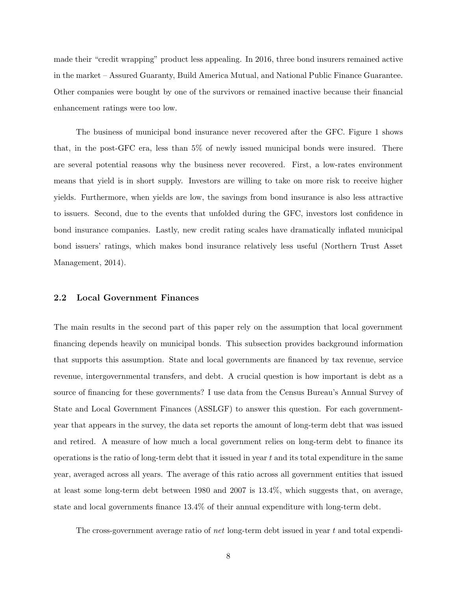made their "credit wrapping" product less appealing. In 2016, three bond insurers remained active in the market – Assured Guaranty, Build America Mutual, and National Public Finance Guarantee. Other companies were bought by one of the survivors or remained inactive because their financial enhancement ratings were too low.

The business of municipal bond insurance never recovered after the GFC. Figure 1 shows that, in the post-GFC era, less than 5% of newly issued municipal bonds were insured. There are several potential reasons why the business never recovered. First, a low-rates environment means that yield is in short supply. Investors are willing to take on more risk to receive higher yields. Furthermore, when yields are low, the savings from bond insurance is also less attractive to issuers. Second, due to the events that unfolded during the GFC, investors lost confidence in bond insurance companies. Lastly, new credit rating scales have dramatically inflated municipal bond issuers' ratings, which makes bond insurance relatively less useful (Northern Trust Asset Management, 2014).

## 2.2 Local Government Finances

The main results in the second part of this paper rely on the assumption that local government financing depends heavily on municipal bonds. This subsection provides background information that supports this assumption. State and local governments are financed by tax revenue, service revenue, intergovernmental transfers, and debt. A crucial question is how important is debt as a source of financing for these governments? I use data from the Census Bureau's Annual Survey of State and Local Government Finances (ASSLGF) to answer this question. For each governmentyear that appears in the survey, the data set reports the amount of long-term debt that was issued and retired. A measure of how much a local government relies on long-term debt to finance its operations is the ratio of long-term debt that it issued in year t and its total expenditure in the same year, averaged across all years. The average of this ratio across all government entities that issued at least some long-term debt between 1980 and 2007 is 13.4%, which suggests that, on average, state and local governments finance 13.4% of their annual expenditure with long-term debt.

The cross-government average ratio of net long-term debt issued in year t and total expendi-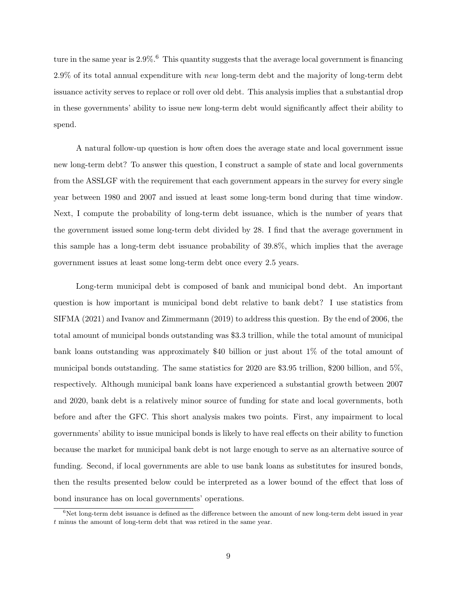ture in the same year is  $2.9\%$ .<sup>6</sup> This quantity suggests that the average local government is financing  $2.9\%$  of its total annual expenditure with new long-term debt and the majority of long-term debt issuance activity serves to replace or roll over old debt. This analysis implies that a substantial drop in these governments' ability to issue new long-term debt would significantly affect their ability to spend.

A natural follow-up question is how often does the average state and local government issue new long-term debt? To answer this question, I construct a sample of state and local governments from the ASSLGF with the requirement that each government appears in the survey for every single year between 1980 and 2007 and issued at least some long-term bond during that time window. Next, I compute the probability of long-term debt issuance, which is the number of years that the government issued some long-term debt divided by 28. I find that the average government in this sample has a long-term debt issuance probability of 39.8%, which implies that the average government issues at least some long-term debt once every 2.5 years.

Long-term municipal debt is composed of bank and municipal bond debt. An important question is how important is municipal bond debt relative to bank debt? I use statistics from SIFMA (2021) and Ivanov and Zimmermann (2019) to address this question. By the end of 2006, the total amount of municipal bonds outstanding was \$3.3 trillion, while the total amount of municipal bank loans outstanding was approximately \$40 billion or just about 1% of the total amount of municipal bonds outstanding. The same statistics for 2020 are \$3.95 trillion, \$200 billion, and 5%, respectively. Although municipal bank loans have experienced a substantial growth between 2007 and 2020, bank debt is a relatively minor source of funding for state and local governments, both before and after the GFC. This short analysis makes two points. First, any impairment to local governments' ability to issue municipal bonds is likely to have real effects on their ability to function because the market for municipal bank debt is not large enough to serve as an alternative source of funding. Second, if local governments are able to use bank loans as substitutes for insured bonds, then the results presented below could be interpreted as a lower bound of the effect that loss of bond insurance has on local governments' operations.

 $6$ Net long-term debt issuance is defined as the difference between the amount of new long-term debt issued in year t minus the amount of long-term debt that was retired in the same year.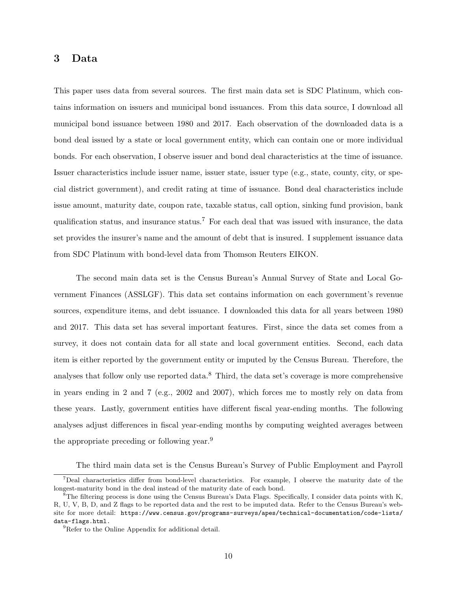# 3 Data

This paper uses data from several sources. The first main data set is SDC Platinum, which contains information on issuers and municipal bond issuances. From this data source, I download all municipal bond issuance between 1980 and 2017. Each observation of the downloaded data is a bond deal issued by a state or local government entity, which can contain one or more individual bonds. For each observation, I observe issuer and bond deal characteristics at the time of issuance. Issuer characteristics include issuer name, issuer state, issuer type (e.g., state, county, city, or special district government), and credit rating at time of issuance. Bond deal characteristics include issue amount, maturity date, coupon rate, taxable status, call option, sinking fund provision, bank qualification status, and insurance status.<sup>7</sup> For each deal that was issued with insurance, the data set provides the insurer's name and the amount of debt that is insured. I supplement issuance data from SDC Platinum with bond-level data from Thomson Reuters EIKON.

The second main data set is the Census Bureau's Annual Survey of State and Local Government Finances (ASSLGF). This data set contains information on each government's revenue sources, expenditure items, and debt issuance. I downloaded this data for all years between 1980 and 2017. This data set has several important features. First, since the data set comes from a survey, it does not contain data for all state and local government entities. Second, each data item is either reported by the government entity or imputed by the Census Bureau. Therefore, the analyses that follow only use reported data.<sup>8</sup> Third, the data set's coverage is more comprehensive in years ending in 2 and 7 (e.g., 2002 and 2007), which forces me to mostly rely on data from these years. Lastly, government entities have different fiscal year-ending months. The following analyses adjust differences in fiscal year-ending months by computing weighted averages between the appropriate preceding or following year.<sup>9</sup>

The third main data set is the Census Bureau's Survey of Public Employment and Payroll

<sup>7</sup>Deal characteristics differ from bond-level characteristics. For example, I observe the maturity date of the longest-maturity bond in the deal instead of the maturity date of each bond.

<sup>&</sup>lt;sup>8</sup>The filtering process is done using the Census Bureau's Data Flags. Specifically, I consider data points with K, R, U, V, B, D, and Z flags to be reported data and the rest to be imputed data. Refer to the Census Bureau's website for more detail: https://www.census.gov/programs-surveys/apes/technical-documentation/code-lists/ data-flags.html.

<sup>&</sup>lt;sup>9</sup>Refer to the Online Appendix for additional detail.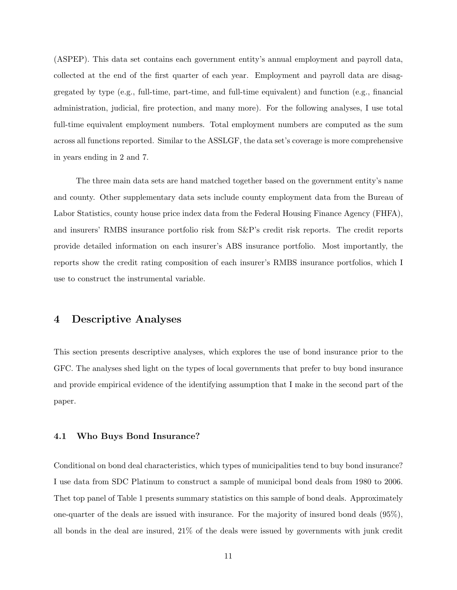(ASPEP). This data set contains each government entity's annual employment and payroll data, collected at the end of the first quarter of each year. Employment and payroll data are disaggregated by type (e.g., full-time, part-time, and full-time equivalent) and function (e.g., financial administration, judicial, fire protection, and many more). For the following analyses, I use total full-time equivalent employment numbers. Total employment numbers are computed as the sum across all functions reported. Similar to the ASSLGF, the data set's coverage is more comprehensive in years ending in 2 and 7.

The three main data sets are hand matched together based on the government entity's name and county. Other supplementary data sets include county employment data from the Bureau of Labor Statistics, county house price index data from the Federal Housing Finance Agency (FHFA), and insurers' RMBS insurance portfolio risk from S&P's credit risk reports. The credit reports provide detailed information on each insurer's ABS insurance portfolio. Most importantly, the reports show the credit rating composition of each insurer's RMBS insurance portfolios, which I use to construct the instrumental variable.

# 4 Descriptive Analyses

This section presents descriptive analyses, which explores the use of bond insurance prior to the GFC. The analyses shed light on the types of local governments that prefer to buy bond insurance and provide empirical evidence of the identifying assumption that I make in the second part of the paper.

## 4.1 Who Buys Bond Insurance?

Conditional on bond deal characteristics, which types of municipalities tend to buy bond insurance? I use data from SDC Platinum to construct a sample of municipal bond deals from 1980 to 2006. Thet top panel of Table 1 presents summary statistics on this sample of bond deals. Approximately one-quarter of the deals are issued with insurance. For the majority of insured bond deals (95%), all bonds in the deal are insured, 21% of the deals were issued by governments with junk credit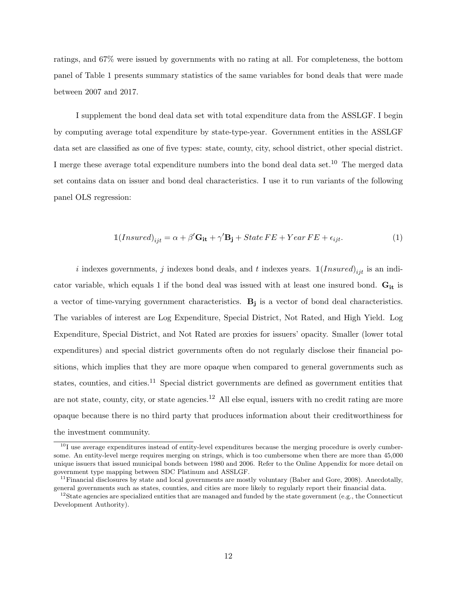ratings, and 67% were issued by governments with no rating at all. For completeness, the bottom panel of Table 1 presents summary statistics of the same variables for bond deals that were made between 2007 and 2017.

I supplement the bond deal data set with total expenditure data from the ASSLGF. I begin by computing average total expenditure by state-type-year. Government entities in the ASSLGF data set are classified as one of five types: state, county, city, school district, other special district. I merge these average total expenditure numbers into the bond deal data set.<sup>10</sup> The merged data set contains data on issuer and bond deal characteristics. I use it to run variants of the following panel OLS regression:

$$
\mathbb{1}(Insured)_{ijt} = \alpha + \beta' \mathbf{G_{it}} + \gamma' \mathbf{B_j} + State\, FE + Year\, FE + \epsilon_{ijt}.\tag{1}
$$

i indexes governments, j indexes bond deals, and t indexes years.  $\mathbb{1}(Insured)_{ijt}$  is an indicator variable, which equals 1 if the bond deal was issued with at least one insured bond.  $G_{it}$  is a vector of time-varying government characteristics. B<sub>j</sub> is a vector of bond deal characteristics. The variables of interest are Log Expenditure, Special District, Not Rated, and High Yield. Log Expenditure, Special District, and Not Rated are proxies for issuers' opacity. Smaller (lower total expenditures) and special district governments often do not regularly disclose their financial positions, which implies that they are more opaque when compared to general governments such as states, counties, and cities.<sup>11</sup> Special district governments are defined as government entities that are not state, county, city, or state agencies.<sup>12</sup> All else equal, issuers with no credit rating are more opaque because there is no third party that produces information about their creditworthiness for the investment community.

 $10<sup>10</sup>$  use average expenditures instead of entity-level expenditures because the merging procedure is overly cumbersome. An entity-level merge requires merging on strings, which is too cumbersome when there are more than 45,000 unique issuers that issued municipal bonds between 1980 and 2006. Refer to the Online Appendix for more detail on government type mapping between SDC Platinum and ASSLGF.

 $11$ Financial disclosures by state and local governments are mostly voluntary (Baber and Gore, 2008). Anecdotally, general governments such as states, counties, and cities are more likely to regularly report their financial data.

<sup>&</sup>lt;sup>12</sup>State agencies are specialized entities that are managed and funded by the state government (e.g., the Connecticut Development Authority).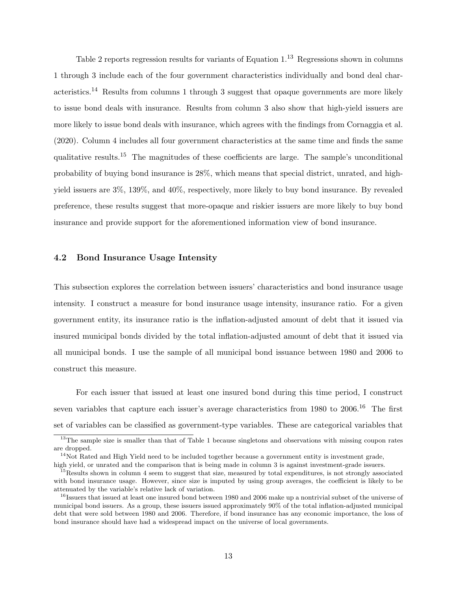Table 2 reports regression results for variants of Equation 1.<sup>13</sup> Regressions shown in columns 1 through 3 include each of the four government characteristics individually and bond deal characteristics.<sup>14</sup> Results from columns 1 through 3 suggest that opaque governments are more likely to issue bond deals with insurance. Results from column 3 also show that high-yield issuers are more likely to issue bond deals with insurance, which agrees with the findings from Cornaggia et al. (2020). Column 4 includes all four government characteristics at the same time and finds the same qualitative results.<sup>15</sup> The magnitudes of these coefficients are large. The sample's unconditional probability of buying bond insurance is 28%, which means that special district, unrated, and highyield issuers are 3%, 139%, and 40%, respectively, more likely to buy bond insurance. By revealed preference, these results suggest that more-opaque and riskier issuers are more likely to buy bond insurance and provide support for the aforementioned information view of bond insurance.

# 4.2 Bond Insurance Usage Intensity

This subsection explores the correlation between issuers' characteristics and bond insurance usage intensity. I construct a measure for bond insurance usage intensity, insurance ratio. For a given government entity, its insurance ratio is the inflation-adjusted amount of debt that it issued via insured municipal bonds divided by the total inflation-adjusted amount of debt that it issued via all municipal bonds. I use the sample of all municipal bond issuance between 1980 and 2006 to construct this measure.

For each issuer that issued at least one insured bond during this time period, I construct seven variables that capture each issuer's average characteristics from 1980 to  $2006$ .<sup>16</sup> The first set of variables can be classified as government-type variables. These are categorical variables that

<sup>&</sup>lt;sup>13</sup>The sample size is smaller than that of Table 1 because singletons and observations with missing coupon rates are dropped.

 $14$ Not Rated and High Yield need to be included together because a government entity is investment grade,

high yield, or unrated and the comparison that is being made in column 3 is against investment-grade issuers.

 $15$ Results shown in column 4 seem to suggest that size, measured by total expenditures, is not strongly associated with bond insurance usage. However, since size is imputed by using group averages, the coefficient is likely to be attenuated by the variable's relative lack of variation.

<sup>&</sup>lt;sup>16</sup>Issuers that issued at least one insured bond between 1980 and 2006 make up a nontrivial subset of the universe of municipal bond issuers. As a group, these issuers issued approximately 90% of the total inflation-adjusted municipal debt that were sold between 1980 and 2006. Therefore, if bond insurance has any economic importance, the loss of bond insurance should have had a widespread impact on the universe of local governments.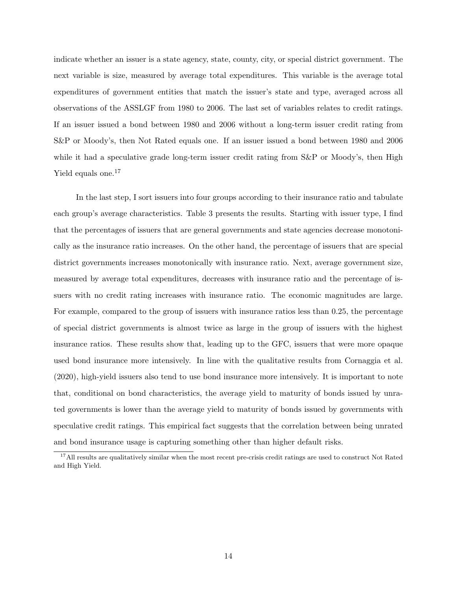indicate whether an issuer is a state agency, state, county, city, or special district government. The next variable is size, measured by average total expenditures. This variable is the average total expenditures of government entities that match the issuer's state and type, averaged across all observations of the ASSLGF from 1980 to 2006. The last set of variables relates to credit ratings. If an issuer issued a bond between 1980 and 2006 without a long-term issuer credit rating from S&P or Moody's, then Not Rated equals one. If an issuer issued a bond between 1980 and 2006 while it had a speculative grade long-term issuer credit rating from S&P or Moody's, then High Yield equals one.<sup>17</sup>

In the last step, I sort issuers into four groups according to their insurance ratio and tabulate each group's average characteristics. Table 3 presents the results. Starting with issuer type, I find that the percentages of issuers that are general governments and state agencies decrease monotonically as the insurance ratio increases. On the other hand, the percentage of issuers that are special district governments increases monotonically with insurance ratio. Next, average government size, measured by average total expenditures, decreases with insurance ratio and the percentage of issuers with no credit rating increases with insurance ratio. The economic magnitudes are large. For example, compared to the group of issuers with insurance ratios less than 0.25, the percentage of special district governments is almost twice as large in the group of issuers with the highest insurance ratios. These results show that, leading up to the GFC, issuers that were more opaque used bond insurance more intensively. In line with the qualitative results from Cornaggia et al. (2020), high-yield issuers also tend to use bond insurance more intensively. It is important to note that, conditional on bond characteristics, the average yield to maturity of bonds issued by unrated governments is lower than the average yield to maturity of bonds issued by governments with speculative credit ratings. This empirical fact suggests that the correlation between being unrated and bond insurance usage is capturing something other than higher default risks.

<sup>&</sup>lt;sup>17</sup>All results are qualitatively similar when the most recent pre-crisis credit ratings are used to construct Not Rated and High Yield.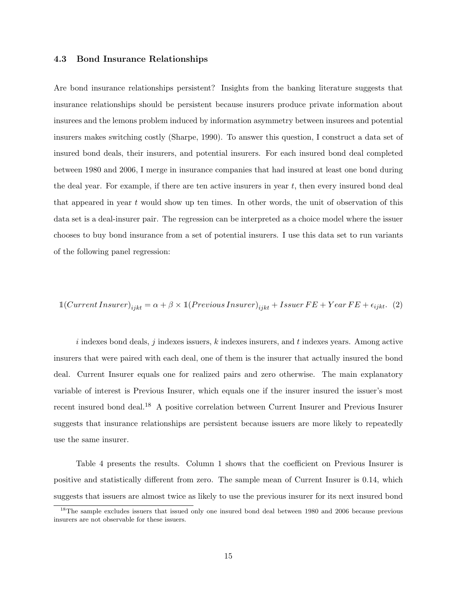## 4.3 Bond Insurance Relationships

Are bond insurance relationships persistent? Insights from the banking literature suggests that insurance relationships should be persistent because insurers produce private information about insurees and the lemons problem induced by information asymmetry between insurees and potential insurers makes switching costly (Sharpe, 1990). To answer this question, I construct a data set of insured bond deals, their insurers, and potential insurers. For each insured bond deal completed between 1980 and 2006, I merge in insurance companies that had insured at least one bond during the deal year. For example, if there are ten active insurers in year  $t$ , then every insured bond deal that appeared in year  $t$  would show up ten times. In other words, the unit of observation of this data set is a deal-insurer pair. The regression can be interpreted as a choice model where the issuer chooses to buy bond insurance from a set of potential insurers. I use this data set to run variants of the following panel regression:

$$
\mathbb{1}(Current\; Insurance)_{ijkt} = \alpha + \beta \times \mathbb{1}(Previous\; Insurance)_{ijkt} + Issue\; FE + Year\, FE + \epsilon_{ijkt}. \tag{2}
$$

i indexes bond deals, j indexes issuers, k indexes insurers, and t indexes years. Among active insurers that were paired with each deal, one of them is the insurer that actually insured the bond deal. Current Insurer equals one for realized pairs and zero otherwise. The main explanatory variable of interest is Previous Insurer, which equals one if the insurer insured the issuer's most recent insured bond deal.<sup>18</sup> A positive correlation between Current Insurer and Previous Insurer suggests that insurance relationships are persistent because issuers are more likely to repeatedly use the same insurer.

Table 4 presents the results. Column 1 shows that the coefficient on Previous Insurer is positive and statistically different from zero. The sample mean of Current Insurer is 0.14, which suggests that issuers are almost twice as likely to use the previous insurer for its next insured bond

<sup>&</sup>lt;sup>18</sup>The sample excludes issuers that issued only one insured bond deal between 1980 and 2006 because previous insurers are not observable for these issuers.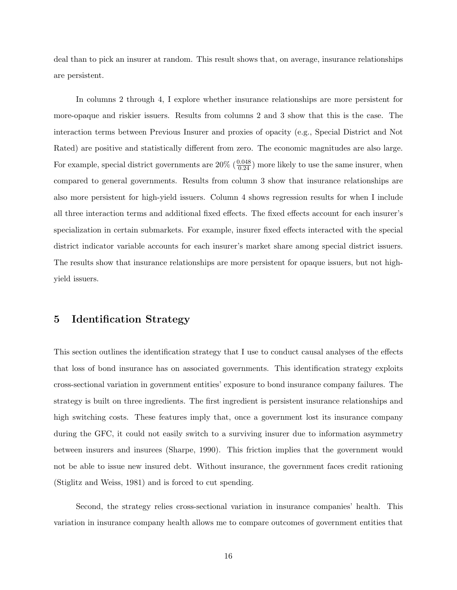deal than to pick an insurer at random. This result shows that, on average, insurance relationships are persistent.

In columns 2 through 4, I explore whether insurance relationships are more persistent for more-opaque and riskier issuers. Results from columns 2 and 3 show that this is the case. The interaction terms between Previous Insurer and proxies of opacity (e.g., Special District and Not Rated) are positive and statistically different from zero. The economic magnitudes are also large. For example, special district governments are  $20\%$  ( $\frac{0.048}{0.24}$ ) more likely to use the same insurer, when compared to general governments. Results from column 3 show that insurance relationships are also more persistent for high-yield issuers. Column 4 shows regression results for when I include all three interaction terms and additional fixed effects. The fixed effects account for each insurer's specialization in certain submarkets. For example, insurer fixed effects interacted with the special district indicator variable accounts for each insurer's market share among special district issuers. The results show that insurance relationships are more persistent for opaque issuers, but not highyield issuers.

# 5 Identification Strategy

This section outlines the identification strategy that I use to conduct causal analyses of the effects that loss of bond insurance has on associated governments. This identification strategy exploits cross-sectional variation in government entities' exposure to bond insurance company failures. The strategy is built on three ingredients. The first ingredient is persistent insurance relationships and high switching costs. These features imply that, once a government lost its insurance company during the GFC, it could not easily switch to a surviving insurer due to information asymmetry between insurers and insurees (Sharpe, 1990). This friction implies that the government would not be able to issue new insured debt. Without insurance, the government faces credit rationing (Stiglitz and Weiss, 1981) and is forced to cut spending.

Second, the strategy relies cross-sectional variation in insurance companies' health. This variation in insurance company health allows me to compare outcomes of government entities that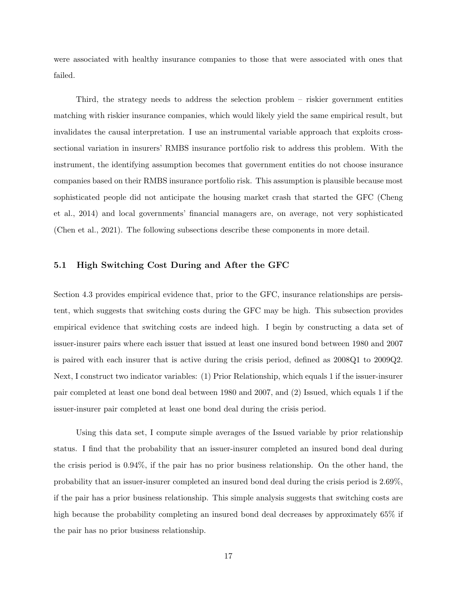were associated with healthy insurance companies to those that were associated with ones that failed.

Third, the strategy needs to address the selection problem – riskier government entities matching with riskier insurance companies, which would likely yield the same empirical result, but invalidates the causal interpretation. I use an instrumental variable approach that exploits crosssectional variation in insurers' RMBS insurance portfolio risk to address this problem. With the instrument, the identifying assumption becomes that government entities do not choose insurance companies based on their RMBS insurance portfolio risk. This assumption is plausible because most sophisticated people did not anticipate the housing market crash that started the GFC (Cheng et al., 2014) and local governments' financial managers are, on average, not very sophisticated (Chen et al., 2021). The following subsections describe these components in more detail.

# 5.1 High Switching Cost During and After the GFC

Section 4.3 provides empirical evidence that, prior to the GFC, insurance relationships are persistent, which suggests that switching costs during the GFC may be high. This subsection provides empirical evidence that switching costs are indeed high. I begin by constructing a data set of issuer-insurer pairs where each issuer that issued at least one insured bond between 1980 and 2007 is paired with each insurer that is active during the crisis period, defined as 2008Q1 to 2009Q2. Next, I construct two indicator variables: (1) Prior Relationship, which equals 1 if the issuer-insurer pair completed at least one bond deal between 1980 and 2007, and (2) Issued, which equals 1 if the issuer-insurer pair completed at least one bond deal during the crisis period.

Using this data set, I compute simple averages of the Issued variable by prior relationship status. I find that the probability that an issuer-insurer completed an insured bond deal during the crisis period is 0.94%, if the pair has no prior business relationship. On the other hand, the probability that an issuer-insurer completed an insured bond deal during the crisis period is 2.69%, if the pair has a prior business relationship. This simple analysis suggests that switching costs are high because the probability completing an insured bond deal decreases by approximately 65% if the pair has no prior business relationship.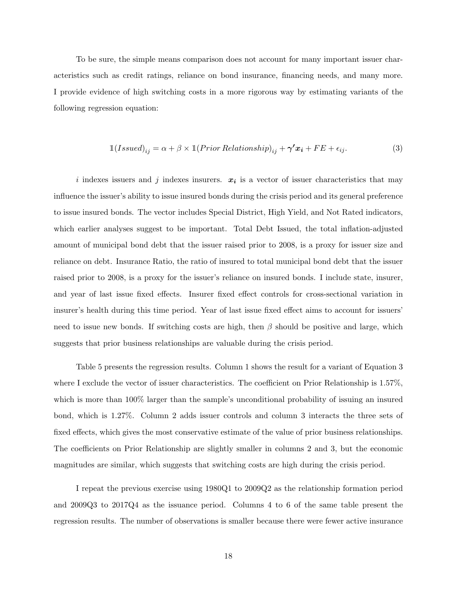To be sure, the simple means comparison does not account for many important issuer characteristics such as credit ratings, reliance on bond insurance, financing needs, and many more. I provide evidence of high switching costs in a more rigorous way by estimating variants of the following regression equation:

$$
\mathbb{1}(Is sued)_{ij} = \alpha + \beta \times \mathbb{1}(Prior\,Relationship)_{ij} + \gamma' x_i + FE + \epsilon_{ij}.
$$
\n(3)

i indexes issuers and j indexes insurers.  $x_i$  is a vector of issuer characteristics that may influence the issuer's ability to issue insured bonds during the crisis period and its general preference to issue insured bonds. The vector includes Special District, High Yield, and Not Rated indicators, which earlier analyses suggest to be important. Total Debt Issued, the total inflation-adjusted amount of municipal bond debt that the issuer raised prior to 2008, is a proxy for issuer size and reliance on debt. Insurance Ratio, the ratio of insured to total municipal bond debt that the issuer raised prior to 2008, is a proxy for the issuer's reliance on insured bonds. I include state, insurer, and year of last issue fixed effects. Insurer fixed effect controls for cross-sectional variation in insurer's health during this time period. Year of last issue fixed effect aims to account for issuers' need to issue new bonds. If switching costs are high, then  $\beta$  should be positive and large, which suggests that prior business relationships are valuable during the crisis period.

Table 5 presents the regression results. Column 1 shows the result for a variant of Equation 3 where I exclude the vector of issuer characteristics. The coefficient on Prior Relationship is 1.57%, which is more than 100% larger than the sample's unconditional probability of issuing an insured bond, which is 1.27%. Column 2 adds issuer controls and column 3 interacts the three sets of fixed effects, which gives the most conservative estimate of the value of prior business relationships. The coefficients on Prior Relationship are slightly smaller in columns 2 and 3, but the economic magnitudes are similar, which suggests that switching costs are high during the crisis period.

I repeat the previous exercise using 1980Q1 to 2009Q2 as the relationship formation period and 2009Q3 to 2017Q4 as the issuance period. Columns 4 to 6 of the same table present the regression results. The number of observations is smaller because there were fewer active insurance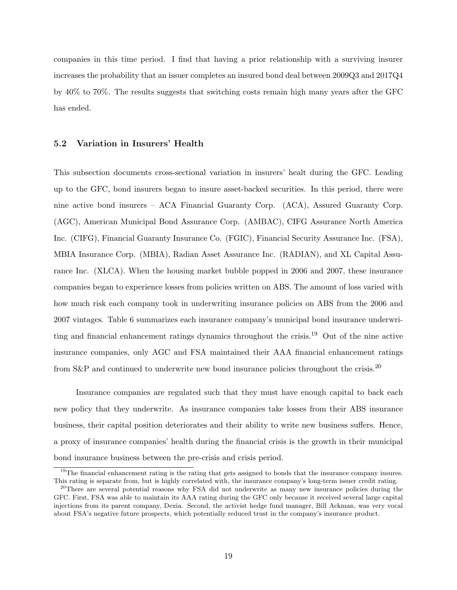companies in this time period. I find that having a prior relationship with a surviving insurer increases the probability that an issuer completes an insured bond deal between 2009Q3 and 2017Q4 by 40% to 70%. The results suggests that switching costs remain high many years after the GFC has ended.

# 5.2 Variation in Insurers' Health

This subsection documents cross-sectional variation in insurers' healt during the GFC. Leading up to the GFC, bond insurers began to insure asset-backed securities. In this period, there were nine active bond insurers – ACA Financial Guaranty Corp. (ACA), Assured Guaranty Corp. (AGC), American Municipal Bond Assurance Corp. (AMBAC), CIFG Assurance North America Inc. (CIFG), Financial Guaranty Insurance Co. (FGIC), Financial Security Assurance Inc. (FSA), MBIA Insurance Corp. (MBIA), Radian Asset Assurance Inc. (RADIAN), and XL Capital Assurance Inc. (XLCA). When the housing market bubble popped in 2006 and 2007, these insurance companies began to experience losses from policies written on ABS. The amount of loss varied with how much risk each company took in underwriting insurance policies on ABS from the 2006 and 2007 vintages. Table 6 summarizes each insurance company's municipal bond insurance underwriting and financial enhancement ratings dynamics throughout the crisis.<sup>19</sup> Out of the nine active insurance companies, only AGC and FSA maintained their AAA financial enhancement ratings from S&P and continued to underwrite new bond insurance policies throughout the crisis.<sup>20</sup>

Insurance companies are regulated such that they must have enough capital to back each new policy that they underwrite. As insurance companies take losses from their ABS insurance business, their capital position deteriorates and their ability to write new business suffers. Hence, a proxy of insurance companies' health during the financial crisis is the growth in their municipal bond insurance business between the pre-crisis and crisis period.

<sup>&</sup>lt;sup>19</sup>The financial enhancement rating is the rating that gets assigned to bonds that the insurance company insures. This rating is separate from, but is highly correlated with, the insurance company's long-term issuer credit rating.

<sup>&</sup>lt;sup>20</sup>There are several potential reasons why FSA did not underwrite as many new insurance policies during the GFC. First, FSA was able to maintain its AAA rating during the GFC only because it received several large capital injections from its parent company, Dexia. Second, the activist hedge fund manager, Bill Ackman, was very vocal about FSA's negative future prospects, which potentially reduced trust in the company's insurance product.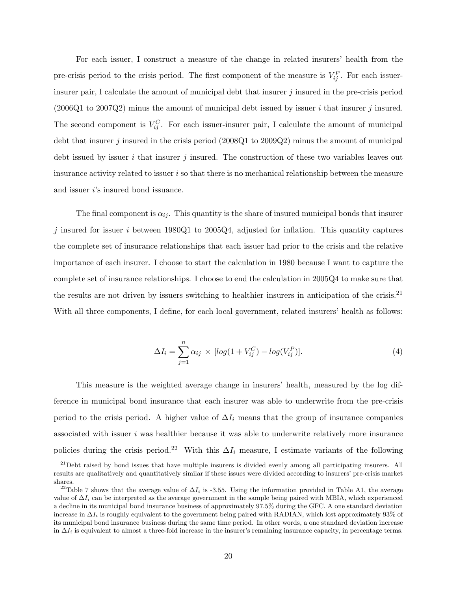For each issuer, I construct a measure of the change in related insurers' health from the pre-crisis period to the crisis period. The first component of the measure is  $V_{ij}^P$ . For each issuerinsurer pair, I calculate the amount of municipal debt that insurer  $j$  insured in the pre-crisis period  $(2006Q1$  to  $2007Q2)$  minus the amount of municipal debt issued by issuer i that insurer j insured. The second component is  $V_{ij}^C$ . For each issuer-insurer pair, I calculate the amount of municipal debt that insurer j insured in the crisis period (2008Q1 to 2009Q2) minus the amount of municipal debt issued by issuer i that insurer j insured. The construction of these two variables leaves out insurance activity related to issuer i so that there is no mechanical relationship between the measure and issuer  $i$ 's insured bond issuance.

The final component is  $\alpha_{ij}$ . This quantity is the share of insured municipal bonds that insurer  $j$  insured for issuer i between 1980Q1 to 2005Q4, adjusted for inflation. This quantity captures the complete set of insurance relationships that each issuer had prior to the crisis and the relative importance of each insurer. I choose to start the calculation in 1980 because I want to capture the complete set of insurance relationships. I choose to end the calculation in 2005Q4 to make sure that the results are not driven by issuers switching to healthier insurers in anticipation of the crisis.<sup>21</sup> With all three components, I define, for each local government, related insurers' health as follows:

$$
\Delta I_i = \sum_{j=1}^{n} \alpha_{ij} \times [log(1 + V_{ij}^C) - log(V_{ij}^P)].
$$
\n(4)

This measure is the weighted average change in insurers' health, measured by the log difference in municipal bond insurance that each insurer was able to underwrite from the pre-crisis period to the crisis period. A higher value of  $\Delta I_i$  means that the group of insurance companies associated with issuer  $i$  was healthier because it was able to underwrite relatively more insurance policies during the crisis period.<sup>22</sup> With this  $\Delta I_i$  measure, I estimate variants of the following

 $^{21}$ Debt raised by bond issues that have multiple insurers is divided evenly among all participating insurers. All results are qualitatively and quantitatively similar if these issues were divided according to insurers' pre-crisis market shares.

<sup>&</sup>lt;sup>22</sup>Table 7 shows that the average value of  $\Delta I_i$  is -3.55. Using the information provided in Table A1, the average value of  $\Delta I_i$  can be interpreted as the average government in the sample being paired with MBIA, which experienced a decline in its municipal bond insurance business of approximately 97.5% during the GFC. A one standard deviation increase in  $\Delta I_i$  is roughly equivalent to the government being paired with RADIAN, which lost approximately 93% of its municipal bond insurance business during the same time period. In other words, a one standard deviation increase in  $\Delta I_i$  is equivalent to almost a three-fold increase in the insurer's remaining insurance capacity, in percentage terms.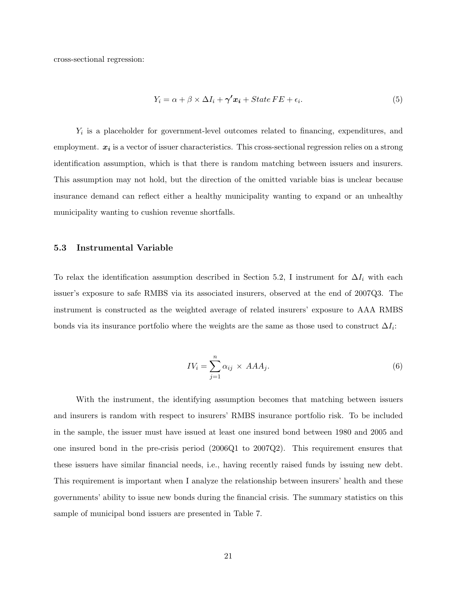cross-sectional regression:

$$
Y_i = \alpha + \beta \times \Delta I_i + \gamma' x_i + State \, FE + \epsilon_i. \tag{5}
$$

 $Y_i$  is a placeholder for government-level outcomes related to financing, expenditures, and employment.  $x_i$  is a vector of issuer characteristics. This cross-sectional regression relies on a strong identification assumption, which is that there is random matching between issuers and insurers. This assumption may not hold, but the direction of the omitted variable bias is unclear because insurance demand can reflect either a healthy municipality wanting to expand or an unhealthy municipality wanting to cushion revenue shortfalls.

## 5.3 Instrumental Variable

To relax the identification assumption described in Section 5.2, I instrument for  $\Delta I_i$  with each issuer's exposure to safe RMBS via its associated insurers, observed at the end of 2007Q3. The instrument is constructed as the weighted average of related insurers' exposure to AAA RMBS bonds via its insurance portfolio where the weights are the same as those used to construct  $\Delta I_i$ :

$$
IV_i = \sum_{j=1}^{n} \alpha_{ij} \times AAA_j.
$$
 (6)

With the instrument, the identifying assumption becomes that matching between issuers and insurers is random with respect to insurers' RMBS insurance portfolio risk. To be included in the sample, the issuer must have issued at least one insured bond between 1980 and 2005 and one insured bond in the pre-crisis period (2006Q1 to 2007Q2). This requirement ensures that these issuers have similar financial needs, i.e., having recently raised funds by issuing new debt. This requirement is important when I analyze the relationship between insurers' health and these governments' ability to issue new bonds during the financial crisis. The summary statistics on this sample of municipal bond issuers are presented in Table 7.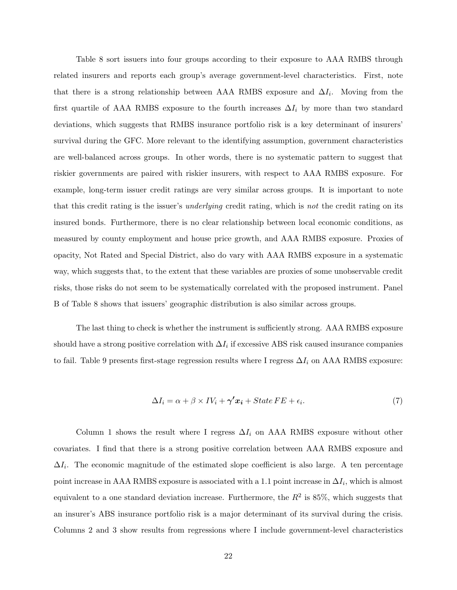Table 8 sort issuers into four groups according to their exposure to AAA RMBS through related insurers and reports each group's average government-level characteristics. First, note that there is a strong relationship between AAA RMBS exposure and  $\Delta I_i$ . Moving from the first quartile of AAA RMBS exposure to the fourth increases  $\Delta I_i$  by more than two standard deviations, which suggests that RMBS insurance portfolio risk is a key determinant of insurers' survival during the GFC. More relevant to the identifying assumption, government characteristics are well-balanced across groups. In other words, there is no systematic pattern to suggest that riskier governments are paired with riskier insurers, with respect to AAA RMBS exposure. For example, long-term issuer credit ratings are very similar across groups. It is important to note that this credit rating is the issuer's underlying credit rating, which is not the credit rating on its insured bonds. Furthermore, there is no clear relationship between local economic conditions, as measured by county employment and house price growth, and AAA RMBS exposure. Proxies of opacity, Not Rated and Special District, also do vary with AAA RMBS exposure in a systematic way, which suggests that, to the extent that these variables are proxies of some unobservable credit risks, those risks do not seem to be systematically correlated with the proposed instrument. Panel B of Table 8 shows that issuers' geographic distribution is also similar across groups.

The last thing to check is whether the instrument is sufficiently strong. AAA RMBS exposure should have a strong positive correlation with  $\Delta I_i$  if excessive ABS risk caused insurance companies to fail. Table 9 presents first-stage regression results where I regress  $\Delta I_i$  on AAA RMBS exposure:

$$
\Delta I_i = \alpha + \beta \times IV_i + \gamma' x_i + State FE + \epsilon_i. \tag{7}
$$

Column 1 shows the result where I regress  $\Delta I_i$  on AAA RMBS exposure without other covariates. I find that there is a strong positive correlation between AAA RMBS exposure and  $\Delta I_i$ . The economic magnitude of the estimated slope coefficient is also large. A ten percentage point increase in AAA RMBS exposure is associated with a 1.1 point increase in  $\Delta I_i$ , which is almost equivalent to a one standard deviation increase. Furthermore, the  $R^2$  is 85%, which suggests that an insurer's ABS insurance portfolio risk is a major determinant of its survival during the crisis. Columns 2 and 3 show results from regressions where I include government-level characteristics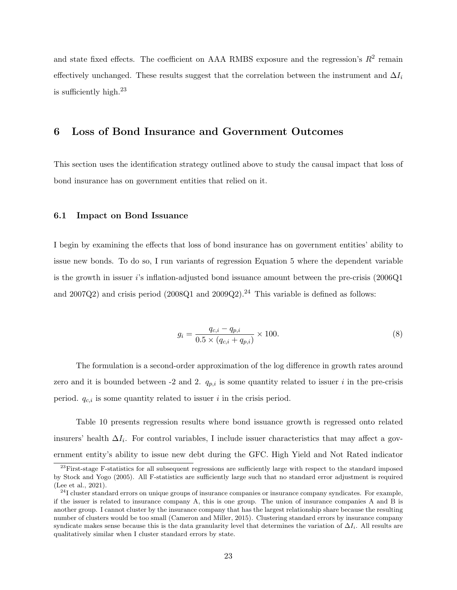and state fixed effects. The coefficient on AAA RMBS exposure and the regression's  $R^2$  remain effectively unchanged. These results suggest that the correlation between the instrument and  $\Delta I_i$ is sufficiently high. $^{23}$ 

# 6 Loss of Bond Insurance and Government Outcomes

This section uses the identification strategy outlined above to study the causal impact that loss of bond insurance has on government entities that relied on it.

#### 6.1 Impact on Bond Issuance

I begin by examining the effects that loss of bond insurance has on government entities' ability to issue new bonds. To do so, I run variants of regression Equation 5 where the dependent variable is the growth in issuer  $i$ 's inflation-adjusted bond issuance amount between the pre-crisis  $(2006Q1)$ and 2007Q2) and crisis period  $(2008Q1$  and  $2009Q2)$ .<sup>24</sup> This variable is defined as follows:

$$
g_i = \frac{q_{c,i} - q_{p,i}}{0.5 \times (q_{c,i} + q_{p,i})} \times 100.
$$
\n(8)

The formulation is a second-order approximation of the log difference in growth rates around zero and it is bounded between -2 and 2.  $q_{p,i}$  is some quantity related to issuer i in the pre-crisis period.  $q_{c,i}$  is some quantity related to issuer i in the crisis period.

Table 10 presents regression results where bond issuance growth is regressed onto related insurers' health  $\Delta I_i$ . For control variables, I include issuer characteristics that may affect a government entity's ability to issue new debt during the GFC. High Yield and Not Rated indicator

 $^{23}$ First-stage F-statistics for all subsequent regressions are sufficiently large with respect to the standard imposed by Stock and Yogo (2005). All F-statistics are sufficiently large such that no standard error adjustment is required (Lee et al., 2021).

 $^{24}$ I cluster standard errors on unique groups of insurance companies or insurance company syndicates. For example, if the issuer is related to insurance company A, this is one group. The union of insurance companies A and B is another group. I cannot cluster by the insurance company that has the largest relationship share because the resulting number of clusters would be too small (Cameron and Miller, 2015). Clustering standard errors by insurance company syndicate makes sense because this is the data granularity level that determines the variation of  $\Delta I_i$ . All results are qualitatively similar when I cluster standard errors by state.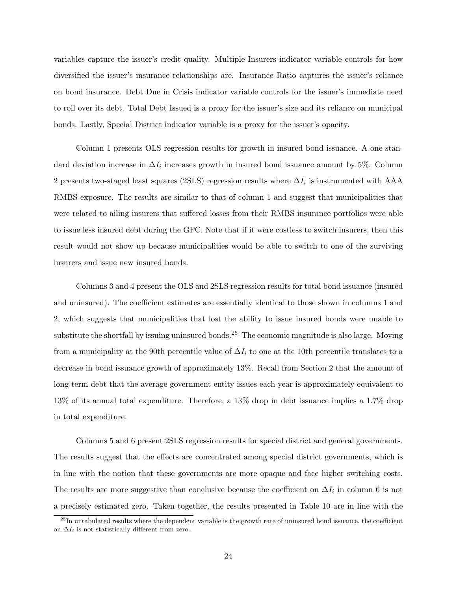variables capture the issuer's credit quality. Multiple Insurers indicator variable controls for how diversified the issuer's insurance relationships are. Insurance Ratio captures the issuer's reliance on bond insurance. Debt Due in Crisis indicator variable controls for the issuer's immediate need to roll over its debt. Total Debt Issued is a proxy for the issuer's size and its reliance on municipal bonds. Lastly, Special District indicator variable is a proxy for the issuer's opacity.

Column 1 presents OLS regression results for growth in insured bond issuance. A one standard deviation increase in  $\Delta I_i$  increases growth in insured bond issuance amount by 5%. Column 2 presents two-staged least squares (2SLS) regression results where  $\Delta I_i$  is instrumented with AAA RMBS exposure. The results are similar to that of column 1 and suggest that municipalities that were related to ailing insurers that suffered losses from their RMBS insurance portfolios were able to issue less insured debt during the GFC. Note that if it were costless to switch insurers, then this result would not show up because municipalities would be able to switch to one of the surviving insurers and issue new insured bonds.

Columns 3 and 4 present the OLS and 2SLS regression results for total bond issuance (insured and uninsured). The coefficient estimates are essentially identical to those shown in columns 1 and 2, which suggests that municipalities that lost the ability to issue insured bonds were unable to substitute the shortfall by issuing uninsured bonds.<sup>25</sup> The economic magnitude is also large. Moving from a municipality at the 90th percentile value of  $\Delta I_i$  to one at the 10th percentile translates to a decrease in bond issuance growth of approximately 13%. Recall from Section 2 that the amount of long-term debt that the average government entity issues each year is approximately equivalent to 13% of its annual total expenditure. Therefore, a 13% drop in debt issuance implies a 1.7% drop in total expenditure.

Columns 5 and 6 present 2SLS regression results for special district and general governments. The results suggest that the effects are concentrated among special district governments, which is in line with the notion that these governments are more opaque and face higher switching costs. The results are more suggestive than conclusive because the coefficient on  $\Delta I_i$  in column 6 is not a precisely estimated zero. Taken together, the results presented in Table 10 are in line with the

 $^{25}$ In untabulated results where the dependent variable is the growth rate of uninsured bond issuance, the coefficient on  $\Delta I_i$  is not statistically different from zero.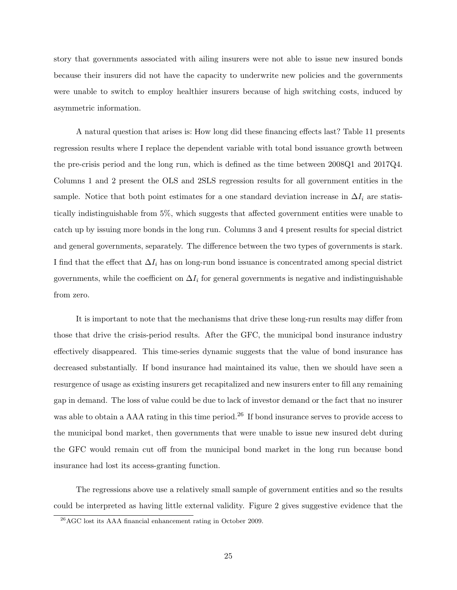story that governments associated with ailing insurers were not able to issue new insured bonds because their insurers did not have the capacity to underwrite new policies and the governments were unable to switch to employ healthier insurers because of high switching costs, induced by asymmetric information.

A natural question that arises is: How long did these financing effects last? Table 11 presents regression results where I replace the dependent variable with total bond issuance growth between the pre-crisis period and the long run, which is defined as the time between 2008Q1 and 2017Q4. Columns 1 and 2 present the OLS and 2SLS regression results for all government entities in the sample. Notice that both point estimates for a one standard deviation increase in  $\Delta I_i$  are statistically indistinguishable from 5%, which suggests that affected government entities were unable to catch up by issuing more bonds in the long run. Columns 3 and 4 present results for special district and general governments, separately. The difference between the two types of governments is stark. I find that the effect that  $\Delta I_i$  has on long-run bond issuance is concentrated among special district governments, while the coefficient on  $\Delta I_i$  for general governments is negative and indistinguishable from zero.

It is important to note that the mechanisms that drive these long-run results may differ from those that drive the crisis-period results. After the GFC, the municipal bond insurance industry effectively disappeared. This time-series dynamic suggests that the value of bond insurance has decreased substantially. If bond insurance had maintained its value, then we should have seen a resurgence of usage as existing insurers get recapitalized and new insurers enter to fill any remaining gap in demand. The loss of value could be due to lack of investor demand or the fact that no insurer was able to obtain a AAA rating in this time period.<sup>26</sup> If bond insurance serves to provide access to the municipal bond market, then governments that were unable to issue new insured debt during the GFC would remain cut off from the municipal bond market in the long run because bond insurance had lost its access-granting function.

The regressions above use a relatively small sample of government entities and so the results could be interpreted as having little external validity. Figure 2 gives suggestive evidence that the

 $^{26}$ AGC lost its AAA financial enhancement rating in October 2009.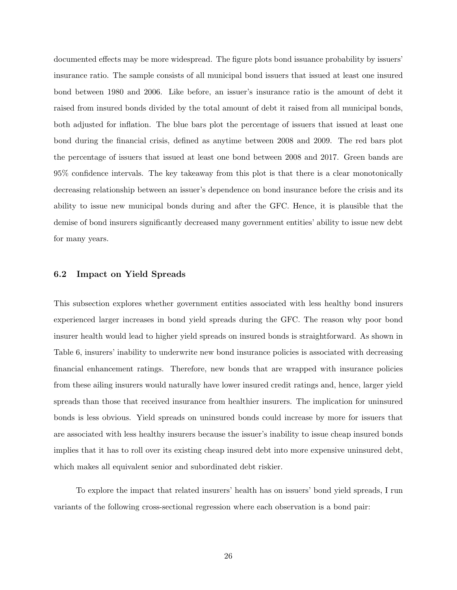documented effects may be more widespread. The figure plots bond issuance probability by issuers' insurance ratio. The sample consists of all municipal bond issuers that issued at least one insured bond between 1980 and 2006. Like before, an issuer's insurance ratio is the amount of debt it raised from insured bonds divided by the total amount of debt it raised from all municipal bonds, both adjusted for inflation. The blue bars plot the percentage of issuers that issued at least one bond during the financial crisis, defined as anytime between 2008 and 2009. The red bars plot the percentage of issuers that issued at least one bond between 2008 and 2017. Green bands are 95% confidence intervals. The key takeaway from this plot is that there is a clear monotonically decreasing relationship between an issuer's dependence on bond insurance before the crisis and its ability to issue new municipal bonds during and after the GFC. Hence, it is plausible that the demise of bond insurers significantly decreased many government entities' ability to issue new debt for many years.

## 6.2 Impact on Yield Spreads

This subsection explores whether government entities associated with less healthy bond insurers experienced larger increases in bond yield spreads during the GFC. The reason why poor bond insurer health would lead to higher yield spreads on insured bonds is straightforward. As shown in Table 6, insurers' inability to underwrite new bond insurance policies is associated with decreasing financial enhancement ratings. Therefore, new bonds that are wrapped with insurance policies from these ailing insurers would naturally have lower insured credit ratings and, hence, larger yield spreads than those that received insurance from healthier insurers. The implication for uninsured bonds is less obvious. Yield spreads on uninsured bonds could increase by more for issuers that are associated with less healthy insurers because the issuer's inability to issue cheap insured bonds implies that it has to roll over its existing cheap insured debt into more expensive uninsured debt, which makes all equivalent senior and subordinated debt riskier.

To explore the impact that related insurers' health has on issuers' bond yield spreads, I run variants of the following cross-sectional regression where each observation is a bond pair: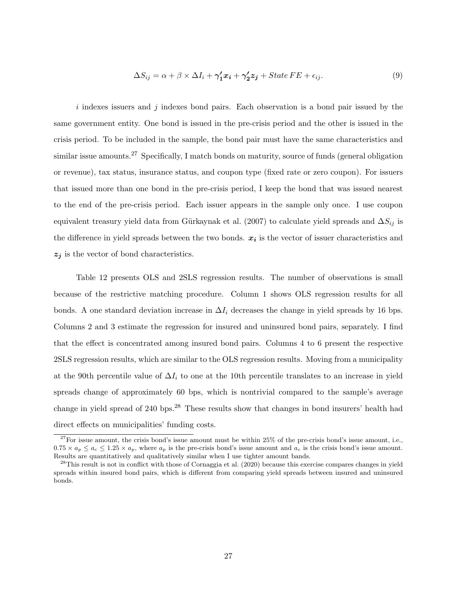$$
\Delta S_{ij} = \alpha + \beta \times \Delta I_i + \gamma_1' x_i + \gamma_2' z_j + State \, FE + \epsilon_{ij}.\tag{9}
$$

i indexes issuers and j indexes bond pairs. Each observation is a bond pair issued by the same government entity. One bond is issued in the pre-crisis period and the other is issued in the crisis period. To be included in the sample, the bond pair must have the same characteristics and similar issue amounts.<sup>27</sup> Specifically, I match bonds on maturity, source of funds (general obligation or revenue), tax status, insurance status, and coupon type (fixed rate or zero coupon). For issuers that issued more than one bond in the pre-crisis period, I keep the bond that was issued nearest to the end of the pre-crisis period. Each issuer appears in the sample only once. I use coupon equivalent treasury yield data from Gürkaynak et al. (2007) to calculate yield spreads and  $\Delta S_{ij}$  is the difference in yield spreads between the two bonds.  $x_i$  is the vector of issuer characteristics and  $z_j$  is the vector of bond characteristics.

Table 12 presents OLS and 2SLS regression results. The number of observations is small because of the restrictive matching procedure. Column 1 shows OLS regression results for all bonds. A one standard deviation increase in  $\Delta I_i$  decreases the change in yield spreads by 16 bps. Columns 2 and 3 estimate the regression for insured and uninsured bond pairs, separately. I find that the effect is concentrated among insured bond pairs. Columns 4 to 6 present the respective 2SLS regression results, which are similar to the OLS regression results. Moving from a municipality at the 90th percentile value of  $\Delta I_i$  to one at the 10th percentile translates to an increase in yield spreads change of approximately 60 bps, which is nontrivial compared to the sample's average change in yield spread of 240 bps.<sup>28</sup> These results show that changes in bond insurers' health had direct effects on municipalities' funding costs.

 $^{27}$ For issue amount, the crisis bond's issue amount must be within 25% of the pre-crisis bond's issue amount, i.e.,  $0.75 \times a_n \leq a_c \leq 1.25 \times a_n$ , where  $a_n$  is the pre-crisis bond's issue amount and  $a_c$  is the crisis bond's issue amount. Results are quantitatively and qualitatively similar when I use tighter amount bands.

<sup>28</sup>This result is not in conflict with those of Cornaggia et al. (2020) because this exercise compares changes in yield spreads within insured bond pairs, which is different from comparing yield spreads between insured and uninsured bonds.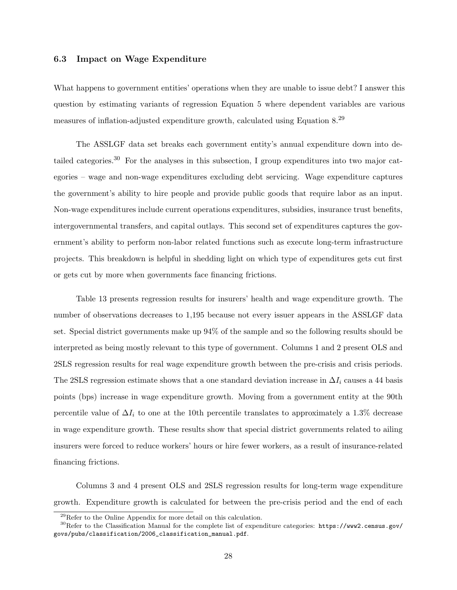## 6.3 Impact on Wage Expenditure

What happens to government entities' operations when they are unable to issue debt? I answer this question by estimating variants of regression Equation 5 where dependent variables are various measures of inflation-adjusted expenditure growth, calculated using Equation 8.<sup>29</sup>

The ASSLGF data set breaks each government entity's annual expenditure down into detailed categories.<sup>30</sup> For the analyses in this subsection, I group expenditures into two major categories – wage and non-wage expenditures excluding debt servicing. Wage expenditure captures the government's ability to hire people and provide public goods that require labor as an input. Non-wage expenditures include current operations expenditures, subsidies, insurance trust benefits, intergovernmental transfers, and capital outlays. This second set of expenditures captures the government's ability to perform non-labor related functions such as execute long-term infrastructure projects. This breakdown is helpful in shedding light on which type of expenditures gets cut first or gets cut by more when governments face financing frictions.

Table 13 presents regression results for insurers' health and wage expenditure growth. The number of observations decreases to 1,195 because not every issuer appears in the ASSLGF data set. Special district governments make up 94% of the sample and so the following results should be interpreted as being mostly relevant to this type of government. Columns 1 and 2 present OLS and 2SLS regression results for real wage expenditure growth between the pre-crisis and crisis periods. The 2SLS regression estimate shows that a one standard deviation increase in  $\Delta I_i$  causes a 44 basis points (bps) increase in wage expenditure growth. Moving from a government entity at the 90th percentile value of  $\Delta I_i$  to one at the 10th percentile translates to approximately a 1.3% decrease in wage expenditure growth. These results show that special district governments related to ailing insurers were forced to reduce workers' hours or hire fewer workers, as a result of insurance-related financing frictions.

Columns 3 and 4 present OLS and 2SLS regression results for long-term wage expenditure growth. Expenditure growth is calculated for between the pre-crisis period and the end of each

<sup>29</sup>Refer to the Online Appendix for more detail on this calculation.

<sup>&</sup>lt;sup>30</sup>Refer to the Classification Manual for the complete list of expenditure categories: https://www2.census.gov/ govs/pubs/classification/2006\_classification\_manual.pdf.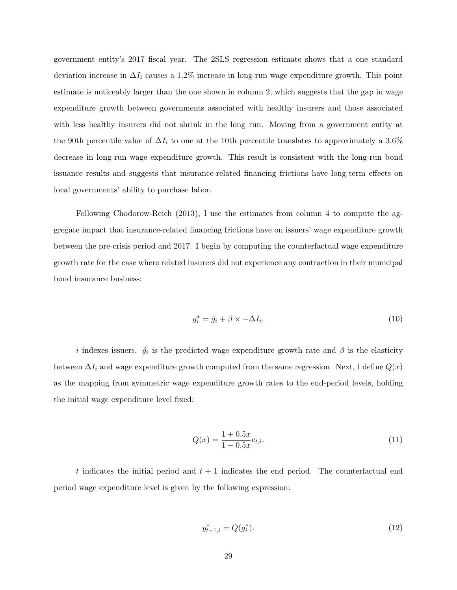government entity's 2017 fiscal year. The 2SLS regression estimate shows that a one standard deviation increase in  $\Delta I_i$  causes a 1.2% increase in long-run wage expenditure growth. This point estimate is noticeably larger than the one shown in column 2, which suggests that the gap in wage expenditure growth between governments associated with healthy insurers and those associated with less healthy insurers did not shrink in the long run. Moving from a government entity at the 90th percentile value of  $\Delta I_i$  to one at the 10th percentile translates to approximately a 3.6% decrease in long-run wage expenditure growth. This result is consistent with the long-run bond issuance results and suggests that insurance-related financing frictions have long-term effects on local governments' ability to purchase labor.

Following Chodorow-Reich (2013), I use the estimates from column 4 to compute the aggregate impact that insurance-related financing frictions have on issuers' wage expenditure growth between the pre-crisis period and 2017. I begin by computing the counterfactual wage expenditure growth rate for the case where related insurers did not experience any contraction in their municipal bond insurance business:

$$
g_i^* = \hat{g}_i + \beta \times -\Delta I_i. \tag{10}
$$

i indexes issuers.  $\hat{g}_i$  is the predicted wage expenditure growth rate and  $\beta$  is the elasticity between  $\Delta I_i$  and wage expenditure growth computed from the same regression. Next, I define  $Q(x)$ as the mapping from symmetric wage expenditure growth rates to the end-period levels, holding the initial wage expenditure level fixed:

$$
Q(x) = \frac{1 + 0.5x}{1 - 0.5x} e_{t,i}.
$$
\n(11)

t indicates the initial period and  $t + 1$  indicates the end period. The counterfactual end period wage expenditure level is given by the following expression:

$$
y_{t+1,i}^* = Q(g_i^*). \tag{12}
$$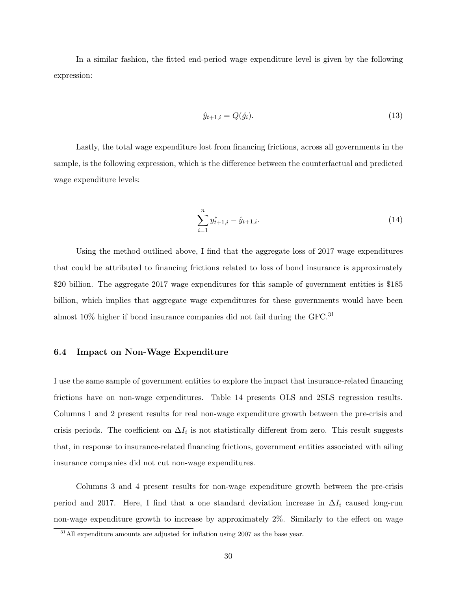In a similar fashion, the fitted end-period wage expenditure level is given by the following expression:

$$
\hat{y}_{t+1,i} = Q(\hat{g}_i). \tag{13}
$$

Lastly, the total wage expenditure lost from financing frictions, across all governments in the sample, is the following expression, which is the difference between the counterfactual and predicted wage expenditure levels:

$$
\sum_{i=1}^{n} y_{t+1,i}^{*} - \hat{y}_{t+1,i}.
$$
\n(14)

Using the method outlined above, I find that the aggregate loss of 2017 wage expenditures that could be attributed to financing frictions related to loss of bond insurance is approximately \$20 billion. The aggregate 2017 wage expenditures for this sample of government entities is \$185 billion, which implies that aggregate wage expenditures for these governments would have been almost 10% higher if bond insurance companies did not fail during the GFC.<sup>31</sup>

## 6.4 Impact on Non-Wage Expenditure

I use the same sample of government entities to explore the impact that insurance-related financing frictions have on non-wage expenditures. Table 14 presents OLS and 2SLS regression results. Columns 1 and 2 present results for real non-wage expenditure growth between the pre-crisis and crisis periods. The coefficient on  $\Delta I_i$  is not statistically different from zero. This result suggests that, in response to insurance-related financing frictions, government entities associated with ailing insurance companies did not cut non-wage expenditures.

Columns 3 and 4 present results for non-wage expenditure growth between the pre-crisis period and 2017. Here, I find that a one standard deviation increase in  $\Delta I_i$  caused long-run non-wage expenditure growth to increase by approximately 2%. Similarly to the effect on wage

<sup>&</sup>lt;sup>31</sup>All expenditure amounts are adjusted for inflation using 2007 as the base year.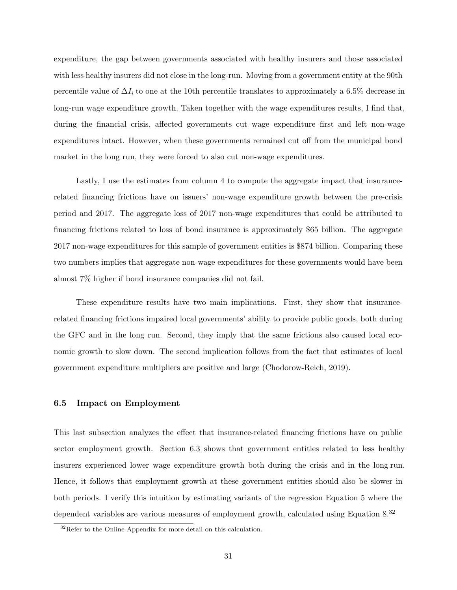expenditure, the gap between governments associated with healthy insurers and those associated with less healthy insurers did not close in the long-run. Moving from a government entity at the 90th percentile value of  $\Delta I_i$  to one at the 10th percentile translates to approximately a 6.5% decrease in long-run wage expenditure growth. Taken together with the wage expenditures results, I find that, during the financial crisis, affected governments cut wage expenditure first and left non-wage expenditures intact. However, when these governments remained cut off from the municipal bond market in the long run, they were forced to also cut non-wage expenditures.

Lastly, I use the estimates from column 4 to compute the aggregate impact that insurancerelated financing frictions have on issuers' non-wage expenditure growth between the pre-crisis period and 2017. The aggregate loss of 2017 non-wage expenditures that could be attributed to financing frictions related to loss of bond insurance is approximately \$65 billion. The aggregate 2017 non-wage expenditures for this sample of government entities is \$874 billion. Comparing these two numbers implies that aggregate non-wage expenditures for these governments would have been almost 7% higher if bond insurance companies did not fail.

These expenditure results have two main implications. First, they show that insurancerelated financing frictions impaired local governments' ability to provide public goods, both during the GFC and in the long run. Second, they imply that the same frictions also caused local economic growth to slow down. The second implication follows from the fact that estimates of local government expenditure multipliers are positive and large (Chodorow-Reich, 2019).

## 6.5 Impact on Employment

This last subsection analyzes the effect that insurance-related financing frictions have on public sector employment growth. Section 6.3 shows that government entities related to less healthy insurers experienced lower wage expenditure growth both during the crisis and in the long run. Hence, it follows that employment growth at these government entities should also be slower in both periods. I verify this intuition by estimating variants of the regression Equation 5 where the dependent variables are various measures of employment growth, calculated using Equation 8.<sup>32</sup>

<sup>&</sup>lt;sup>32</sup>Refer to the Online Appendix for more detail on this calculation.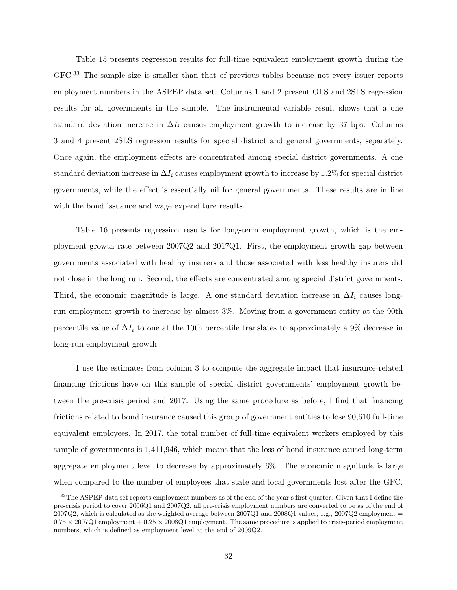Table 15 presents regression results for full-time equivalent employment growth during the GFC.<sup>33</sup> The sample size is smaller than that of previous tables because not every issuer reports employment numbers in the ASPEP data set. Columns 1 and 2 present OLS and 2SLS regression results for all governments in the sample. The instrumental variable result shows that a one standard deviation increase in  $\Delta I_i$  causes employment growth to increase by 37 bps. Columns 3 and 4 present 2SLS regression results for special district and general governments, separately. Once again, the employment effects are concentrated among special district governments. A one standard deviation increase in  $\Delta I_i$  causes employment growth to increase by 1.2% for special district governments, while the effect is essentially nil for general governments. These results are in line with the bond issuance and wage expenditure results.

Table 16 presents regression results for long-term employment growth, which is the employment growth rate between 2007Q2 and 2017Q1. First, the employment growth gap between governments associated with healthy insurers and those associated with less healthy insurers did not close in the long run. Second, the effects are concentrated among special district governments. Third, the economic magnitude is large. A one standard deviation increase in  $\Delta I_i$  causes longrun employment growth to increase by almost 3%. Moving from a government entity at the 90th percentile value of  $\Delta I_i$  to one at the 10th percentile translates to approximately a 9% decrease in long-run employment growth.

I use the estimates from column 3 to compute the aggregate impact that insurance-related financing frictions have on this sample of special district governments' employment growth between the pre-crisis period and 2017. Using the same procedure as before, I find that financing frictions related to bond insurance caused this group of government entities to lose 90,610 full-time equivalent employees. In 2017, the total number of full-time equivalent workers employed by this sample of governments is 1,411,946, which means that the loss of bond insurance caused long-term aggregate employment level to decrease by approximately 6%. The economic magnitude is large when compared to the number of employees that state and local governments lost after the GFC.

<sup>&</sup>lt;sup>33</sup>The ASPEP data set reports employment numbers as of the end of the year's first quarter. Given that I define the pre-crisis period to cover 2006Q1 and 2007Q2, all pre-crisis employment numbers are converted to be as of the end of 2007Q2, which is calculated as the weighted average between  $2007Q1$  and  $2008Q1$  values, e.g.,  $2007Q2$  employment =  $0.75 \times 2007Q1$  employment  $+ 0.25 \times 2008Q1$  employment. The same procedure is applied to crisis-period employment numbers, which is defined as employment level at the end of 2009Q2.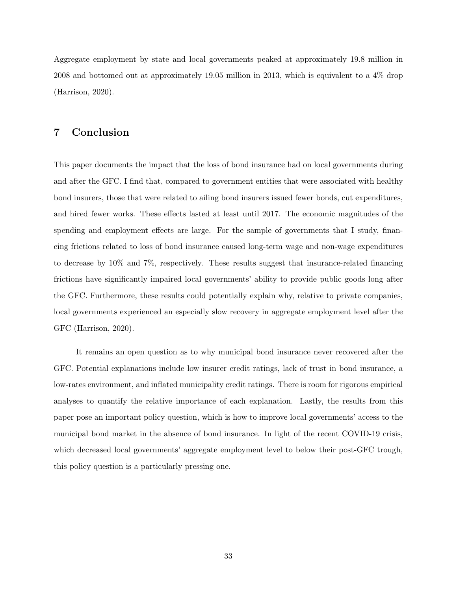Aggregate employment by state and local governments peaked at approximately 19.8 million in 2008 and bottomed out at approximately 19.05 million in 2013, which is equivalent to a 4% drop (Harrison, 2020).

# 7 Conclusion

This paper documents the impact that the loss of bond insurance had on local governments during and after the GFC. I find that, compared to government entities that were associated with healthy bond insurers, those that were related to ailing bond insurers issued fewer bonds, cut expenditures, and hired fewer works. These effects lasted at least until 2017. The economic magnitudes of the spending and employment effects are large. For the sample of governments that I study, financing frictions related to loss of bond insurance caused long-term wage and non-wage expenditures to decrease by 10% and 7%, respectively. These results suggest that insurance-related financing frictions have significantly impaired local governments' ability to provide public goods long after the GFC. Furthermore, these results could potentially explain why, relative to private companies, local governments experienced an especially slow recovery in aggregate employment level after the GFC (Harrison, 2020).

It remains an open question as to why municipal bond insurance never recovered after the GFC. Potential explanations include low insurer credit ratings, lack of trust in bond insurance, a low-rates environment, and inflated municipality credit ratings. There is room for rigorous empirical analyses to quantify the relative importance of each explanation. Lastly, the results from this paper pose an important policy question, which is how to improve local governments' access to the municipal bond market in the absence of bond insurance. In light of the recent COVID-19 crisis, which decreased local governments' aggregate employment level to below their post-GFC trough, this policy question is a particularly pressing one.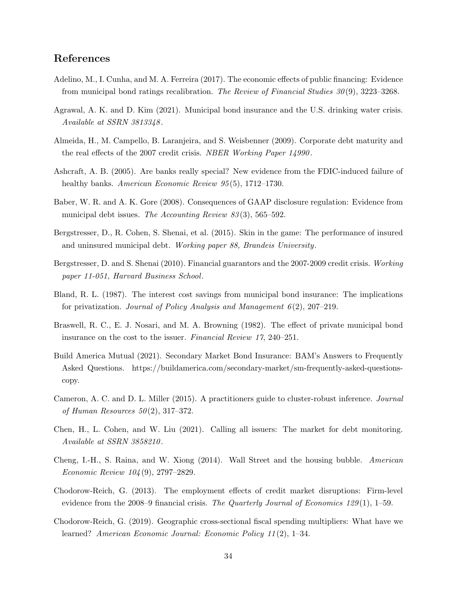# References

- Adelino, M., I. Cunha, and M. A. Ferreira (2017). The economic effects of public financing: Evidence from municipal bond ratings recalibration. The Review of Financial Studies 30 (9), 3223–3268.
- Agrawal, A. K. and D. Kim (2021). Municipal bond insurance and the U.S. drinking water crisis. Available at SSRN 3813348 .
- Almeida, H., M. Campello, B. Laranjeira, and S. Weisbenner (2009). Corporate debt maturity and the real effects of the 2007 credit crisis. NBER Working Paper 14990 .
- Ashcraft, A. B. (2005). Are banks really special? New evidence from the FDIC-induced failure of healthy banks. American Economic Review 95(5), 1712–1730.
- Baber, W. R. and A. K. Gore (2008). Consequences of GAAP disclosure regulation: Evidence from municipal debt issues. The Accounting Review 83(3), 565–592.
- Bergstresser, D., R. Cohen, S. Shenai, et al. (2015). Skin in the game: The performance of insured and uninsured municipal debt. Working paper 88, Brandeis University.
- Bergstresser, D. and S. Shenai (2010). Financial guarantors and the 2007-2009 credit crisis. Working paper 11-051, Harvard Business School.
- Bland, R. L. (1987). The interest cost savings from municipal bond insurance: The implications for privatization. Journal of Policy Analysis and Management  $6(2)$ , 207–219.
- Braswell, R. C., E. J. Nosari, and M. A. Browning (1982). The effect of private municipal bond insurance on the cost to the issuer. Financial Review 17, 240–251.
- Build America Mutual (2021). Secondary Market Bond Insurance: BAM's Answers to Frequently Asked Questions. https://buildamerica.com/secondary-market/sm-frequently-asked-questionscopy.
- Cameron, A. C. and D. L. Miller (2015). A practitioners guide to cluster-robust inference. Journal of Human Resources  $50(2)$ , 317–372.
- Chen, H., L. Cohen, and W. Liu (2021). Calling all issuers: The market for debt monitoring. Available at SSRN 3858210.
- Cheng, I.-H., S. Raina, and W. Xiong (2014). Wall Street and the housing bubble. American Economic Review 104 (9), 2797–2829.
- Chodorow-Reich, G. (2013). The employment effects of credit market disruptions: Firm-level evidence from the 2008–9 financial crisis. The Quarterly Journal of Economics 129(1), 1–59.
- Chodorow-Reich, G. (2019). Geographic cross-sectional fiscal spending multipliers: What have we learned? American Economic Journal: Economic Policy 11 (2), 1–34.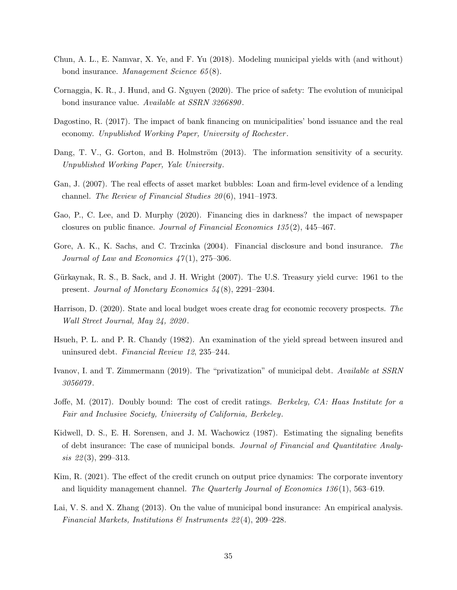- Chun, A. L., E. Namvar, X. Ye, and F. Yu (2018). Modeling municipal yields with (and without) bond insurance. Management Science 65 (8).
- Cornaggia, K. R., J. Hund, and G. Nguyen (2020). The price of safety: The evolution of municipal bond insurance value. Available at SSRN 3266890 .
- Dagostino, R. (2017). The impact of bank financing on municipalities' bond issuance and the real economy. Unpublished Working Paper, University of Rochester .
- Dang, T. V., G. Gorton, and B. Holmström (2013). The information sensitivity of a security. Unpublished Working Paper, Yale University.
- Gan, J. (2007). The real effects of asset market bubbles: Loan and firm-level evidence of a lending channel. The Review of Financial Studies  $20(6)$ , 1941–1973.
- Gao, P., C. Lee, and D. Murphy (2020). Financing dies in darkness? the impact of newspaper closures on public finance. Journal of Financial Economics 135 (2), 445–467.
- Gore, A. K., K. Sachs, and C. Trzcinka (2004). Financial disclosure and bond insurance. The Journal of Law and Economics  $47(1)$ , 275–306.
- Gürkaynak, R. S., B. Sack, and J. H. Wright (2007). The U.S. Treasury yield curve: 1961 to the present. Journal of Monetary Economics 54 (8), 2291–2304.
- Harrison, D. (2020). State and local budget woes create drag for economic recovery prospects. The Wall Street Journal, May 24, 2020 .
- Hsueh, P. L. and P. R. Chandy (1982). An examination of the yield spread between insured and uninsured debt. Financial Review 12, 235–244.
- Ivanov, I. and T. Zimmermann (2019). The "privatization" of municipal debt. Available at SSRN 3056079 .
- Joffe, M. (2017). Doubly bound: The cost of credit ratings. *Berkeley, CA: Haas Institute for a* Fair and Inclusive Society, University of California, Berkeley.
- Kidwell, D. S., E. H. Sorensen, and J. M. Wachowicz (1987). Estimating the signaling benefits of debt insurance: The case of municipal bonds. Journal of Financial and Quantitative Analy $sis \, \, 22(3), \, 299-313.$
- Kim, R. (2021). The effect of the credit crunch on output price dynamics: The corporate inventory and liquidity management channel. The Quarterly Journal of Economics 136(1), 563–619.
- Lai, V. S. and X. Zhang (2013). On the value of municipal bond insurance: An empirical analysis. Financial Markets, Institutions  $\mathcal{B}$  Instruments 22(4), 209–228.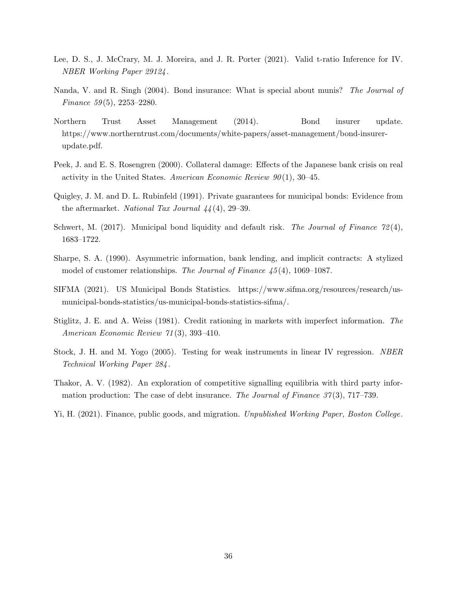- Lee, D. S., J. McCrary, M. J. Moreira, and J. R. Porter (2021). Valid t-ratio Inference for IV. NBER Working Paper 29124 .
- Nanda, V. and R. Singh (2004). Bond insurance: What is special about munis? The Journal of Finance  $59(5)$ ,  $2253-2280$ .
- Northern Trust Asset Management (2014). Bond insurer update. https://www.northerntrust.com/documents/white-papers/asset-management/bond-insurerupdate.pdf.
- Peek, J. and E. S. Rosengren (2000). Collateral damage: Effects of the Japanese bank crisis on real activity in the United States. American Economic Review  $90(1)$ , 30–45.
- Quigley, J. M. and D. L. Rubinfeld (1991). Private guarantees for municipal bonds: Evidence from the aftermarket. National Tax Journal  $44(4)$ , 29-39.
- Schwert, M. (2017). Municipal bond liquidity and default risk. The Journal of Finance  $72(4)$ , 1683–1722.
- Sharpe, S. A. (1990). Asymmetric information, bank lending, and implicit contracts: A stylized model of customer relationships. The Journal of Finance  $45(4)$ , 1069–1087.
- SIFMA (2021). US Municipal Bonds Statistics. https://www.sifma.org/resources/research/usmunicipal-bonds-statistics/us-municipal-bonds-statistics-sifma/.
- Stiglitz, J. E. and A. Weiss (1981). Credit rationing in markets with imperfect information. The American Economic Review 71 (3), 393–410.
- Stock, J. H. and M. Yogo (2005). Testing for weak instruments in linear IV regression. NBER Technical Working Paper 284 .
- Thakor, A. V. (1982). An exploration of competitive signalling equilibria with third party information production: The case of debt insurance. The Journal of Finance  $37(3)$ , 717–739.
- Yi, H. (2021). Finance, public goods, and migration. Unpublished Working Paper, Boston College.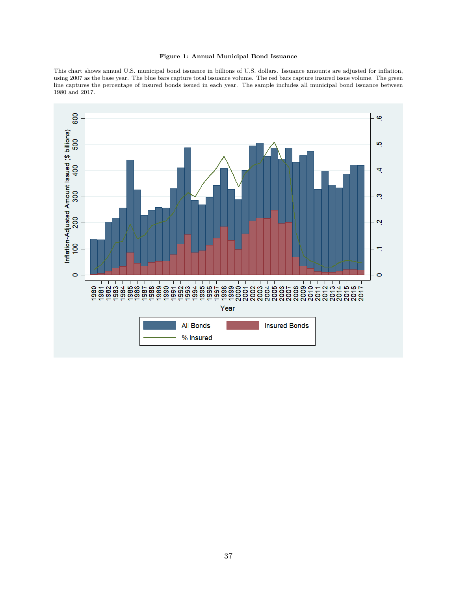#### Figure 1: Annual Municipal Bond Issuance

This chart shows annual U.S. municipal bond issuance in billions of U.S. dollars. Issuance amounts are adjusted for inflation, using 2007 as the base year. The blue bars capture total issuance volume. The red bars capture insured issue volume. The green line captures the percentage of insured bonds issued in each year. The sample includes all municipal bond issuance between 1980 and 2017.

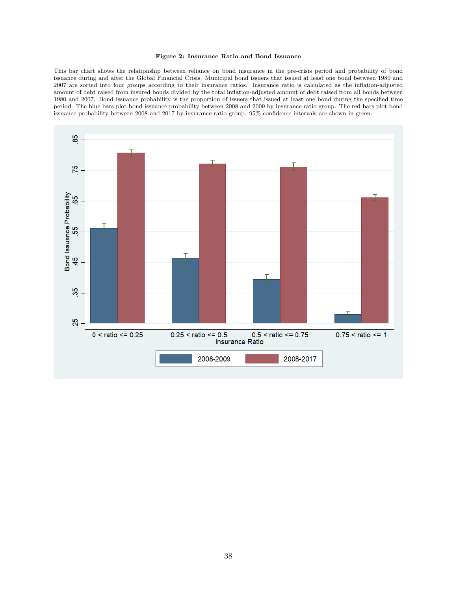#### Figure 2: Insurance Ratio and Bond Issuance

This bar chart shows the relationship between reliance on bond insurance in the pre-crisis period and probability of bond issuance during and after the Global Financial Crisis. Municipal bond issuers that issued at least one bond between 1980 and 2007 are sorted into four groups according to their insurance ratios. Insurance ratio is calculated as the inflation-adjusted amount of debt raised from insured bonds divided by the total inflation-adjusted amount of debt raised from all bonds between 1980 and 2007. Bond issuance probability is the proportion of issuers that issued at least one bond during the specified time period. The blue bars plot bond issuance probability between 2008 and 2009 by insurance ratio group. The red bars plot bond issuance probability between 2008 and 2017 by insurance ratio group. 95% confidence intervals are shown in green.

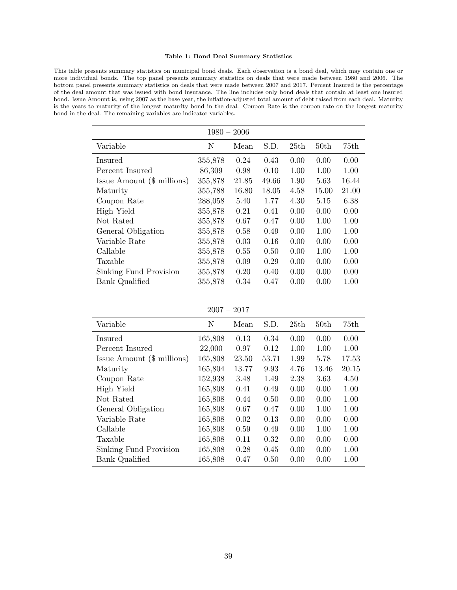#### Table 1: Bond Deal Summary Statistics

This table presents summary statistics on municipal bond deals. Each observation is a bond deal, which may contain one or more individual bonds. The top panel presents summary statistics on deals that were made between 1980 and 2006. The bottom panel presents summary statistics on deals that were made between 2007 and 2017. Percent Insured is the percentage of the deal amount that was issued with bond insurance. The line includes only bond deals that contain at least one insured bond. Issue Amount is, using 2007 as the base year, the inflation-adjusted total amount of debt raised from each deal. Maturity is the years to maturity of the longest maturity bond in the deal. Coupon Rate is the coupon rate on the longest maturity bond in the deal. The remaining variables are indicator variables.

| $1980 - 2006$                                |         |       |       |      |                  |       |  |
|----------------------------------------------|---------|-------|-------|------|------------------|-------|--|
| Variable                                     | N       | Mean  | S.D.  | 25th | 50 <sub>th</sub> | 75th  |  |
| Insured                                      | 355,878 | 0.24  | 0.43  | 0.00 | 0.00             | 0.00  |  |
| Percent Insured                              | 86,309  | 0.98  | 0.10  | 1.00 | 1.00             | 1.00  |  |
| $\text{Issue Amount } (\$\ \text{millions})$ | 355,878 | 21.85 | 49.66 | 1.90 | 5.63             | 16.44 |  |
| Maturity                                     | 355,788 | 16.80 | 18.05 | 4.58 | 15.00            | 21.00 |  |
| Coupon Rate                                  | 288,058 | 5.40  | 1.77  | 4.30 | 5.15             | 6.38  |  |
| High Yield                                   | 355,878 | 0.21  | 0.41  | 0.00 | 0.00             | 0.00  |  |
| Not Rated                                    | 355,878 | 0.67  | 0.47  | 0.00 | 1.00             | 1.00  |  |
| General Obligation                           | 355,878 | 0.58  | 0.49  | 0.00 | 1.00             | 1.00  |  |
| Variable Rate                                | 355,878 | 0.03  | 0.16  | 0.00 | 0.00             | 0.00  |  |
| Callable                                     | 355,878 | 0.55  | 0.50  | 0.00 | 1.00             | 1.00  |  |
| Taxable                                      | 355,878 | 0.09  | 0.29  | 0.00 | 0.00             | 0.00  |  |
| Sinking Fund Provision                       | 355,878 | 0.20  | 0.40  | 0.00 | 0.00             | 0.00  |  |
| Bank Qualified                               | 355,878 | 0.34  | 0.47  | 0.00 | 0.00             | 1.00  |  |

| 2007<br>2017 |
|--------------|
|--------------|

| Variable                     | Ν       | Mean  | S.D.  | 25th | 50 <sub>th</sub> | 75th  |
|------------------------------|---------|-------|-------|------|------------------|-------|
| Insured                      | 165,808 | 0.13  | 0.34  | 0.00 | 0.00             | 0.00  |
| Percent Insured              | 22,000  | 0.97  | 0.12  | 1.00 | 1.00             | 1.00  |
| Issue Amount $(\$$ millions) | 165,808 | 23.50 | 53.71 | 1.99 | 5.78             | 17.53 |
| Maturity                     | 165,804 | 13.77 | 9.93  | 4.76 | 13.46            | 20.15 |
| Coupon Rate                  | 152,938 | 3.48  | 1.49  | 2.38 | 3.63             | 4.50  |
| High Yield                   | 165,808 | 0.41  | 0.49  | 0.00 | 0.00             | 1.00  |
| Not Rated                    | 165,808 | 0.44  | 0.50  | 0.00 | 0.00             | 1.00  |
| General Obligation           | 165,808 | 0.67  | 0.47  | 0.00 | 1.00             | 1.00  |
| Variable Rate                | 165,808 | 0.02  | 0.13  | 0.00 | 0.00             | 0.00  |
| Callable                     | 165,808 | 0.59  | 0.49  | 0.00 | 1.00             | 1.00  |
| Taxable                      | 165,808 | 0.11  | 0.32  | 0.00 | 0.00             | 0.00  |
| Sinking Fund Provision       | 165,808 | 0.28  | 0.45  | 0.00 | 0.00             | 1.00  |
| Bank Qualified               | 165,808 | 0.47  | 0.50  | 0.00 | 0.00             | 1.00  |
|                              |         |       |       |      |                  |       |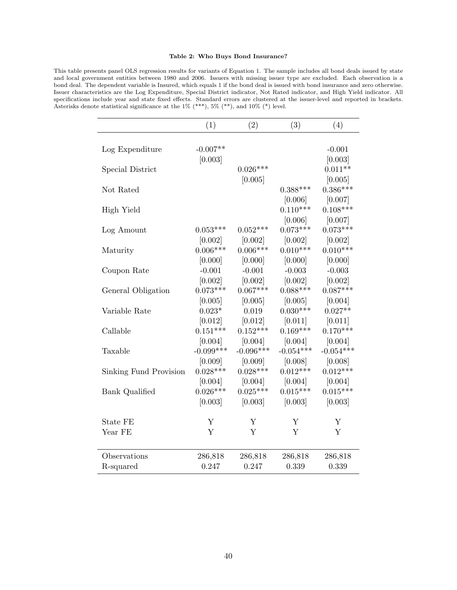#### Table 2: Who Buys Bond Insurance?

This table presents panel OLS regression results for variants of Equation 1. The sample includes all bond deals issued by state and local government entities between 1980 and 2006. Issuers with missing issuer type are excluded. Each observation is a bond deal. The dependent variable is Insured, which equals 1 if the bond deal is issued with bond insurance and zero otherwise. Issuer characteristics are the Log Expenditure, Special District indicator, Not Rated indicator, and High Yield indicator. All specifications include year and state fixed effects. Standard errors are clustered at the issuer-level and reported in brackets. Asterisks denote statistical significance at the  $1\%$  (\*\*\*),  $5\%$  (\*\*), and  $10\%$  (\*) level.

|                         | (1)         | (2)         | (3)         | (4)         |
|-------------------------|-------------|-------------|-------------|-------------|
|                         |             |             |             |             |
| Log Expenditure         | $-0.007**$  |             |             | $-0.001$    |
|                         | [0.003]     |             |             | [0.003]     |
| <b>Special District</b> |             | $0.026***$  |             | $0.011**$   |
|                         |             | [0.005]     |             | [0.005]     |
| Not Rated               |             |             | $0.388***$  | $0.386***$  |
|                         |             |             | [0.006]     | [0.007]     |
| High Yield              |             |             | $0.110***$  | $0.108***$  |
|                         |             |             | [0.006]     | [0.007]     |
| Log Amount              | $0.053***$  | $0.052***$  | $0.073***$  | $0.073***$  |
|                         | [0.002]     | [0.002]     | [0.002]     | [0.002]     |
| Maturity                | $0.006***$  | $0.006***$  | $0.010***$  | $0.010***$  |
|                         | [0.000]     | [0.000]     | [0.000]     | [0.000]     |
| Coupon Rate             | $-0.001$    | $-0.001$    | $-0.003$    | $-0.003$    |
|                         | [0.002]     | [0.002]     | [0.002]     | [0.002]     |
| General Obligation      | $0.073***$  | $0.067***$  | $0.088***$  | $0.087***$  |
|                         | [0.005]     | [0.005]     | [0.005]     | [0.004]     |
| Variable Rate           | $0.023*$    | 0.019       | $0.030***$  | $0.027**$   |
|                         | [0.012]     | [0.012]     | [0.011]     | [0.011]     |
| Callable                | $0.151***$  | $0.152***$  | $0.169***$  | $0.170***$  |
|                         | [0.004]     | [0.004]     | [0.004]     | [0.004]     |
| Taxable                 | $-0.099***$ | $-0.096***$ | $-0.054***$ | $-0.054***$ |
|                         | [0.009]     | [0.009]     | [0.008]     | [0.008]     |
| Sinking Fund Provision  | $0.028***$  | $0.028***$  | $0.012***$  | $0.012***$  |
|                         | [0.004]     | [0.004]     | [0.004]     | [0.004]     |
| <b>Bank Qualified</b>   | $0.026***$  | $0.025***$  | $0.015***$  | $0.015***$  |
|                         | [0.003]     | [0.003]     | [0.003]     | [0.003]     |
| State FE                | Υ           | Υ           | Υ           | Y           |
| Year FE                 | Y           | Y           | Y           | Y           |
|                         |             |             |             |             |
| Observations            | 286,818     | 286,818     | 286,818     | 286,818     |
| R-squared               | 0.247       | 0.247       | 0.339       | 0.339       |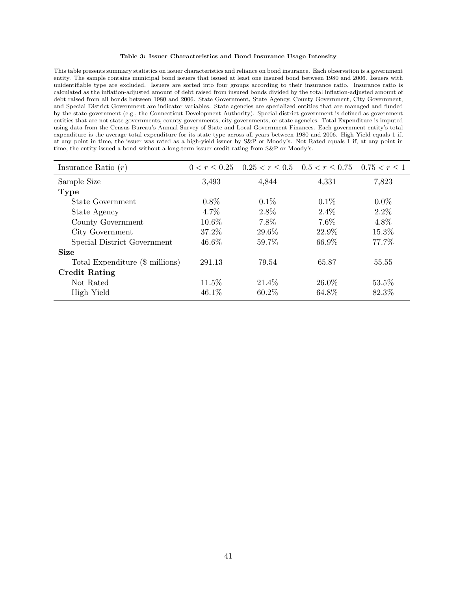#### Table 3: Issuer Characteristics and Bond Insurance Usage Intensity

This table presents summary statistics on issuer characteristics and reliance on bond insurance. Each observation is a government entity. The sample contains municipal bond issuers that issued at least one insured bond between 1980 and 2006. Issuers with unidentifiable type are excluded. Issuers are sorted into four groups according to their insurance ratio. Insurance ratio is calculated as the inflation-adjusted amount of debt raised from insured bonds divided by the total inflation-adjusted amount of debt raised from all bonds between 1980 and 2006. State Government, State Agency, County Government, City Government, and Special District Government are indicator variables. State agencies are specialized entities that are managed and funded by the state government (e.g., the Connecticut Development Authority). Special district government is defined as government entities that are not state governments, county governments, city governments, or state agencies. Total Expenditure is imputed using data from the Census Bureau's Annual Survey of State and Local Government Finances. Each government entity's total expenditure is the average total expenditure for its state type across all years between 1980 and 2006. High Yield equals 1 if, at any point in time, the issuer was rated as a high-yield issuer by S&P or Moody's. Not Rated equals 1 if, at any point in time, the entity issued a bond without a long-term issuer credit rating from S&P or Moody's.

| Insurance Ratio $(r)$           |          | $0 < r \leq 0.25$ $0.25 < r \leq 0.5$ $0.5 < r \leq 0.75$ $0.75 < r \leq 1$ |          |         |
|---------------------------------|----------|-----------------------------------------------------------------------------|----------|---------|
| Sample Size                     | 3,493    | 4,844                                                                       | 4,331    | 7,823   |
| <b>Type</b>                     |          |                                                                             |          |         |
| State Government                | $0.8\%$  | $0.1\%$                                                                     | $0.1\%$  | $0.0\%$ |
| State Agency                    | 4.7%     | 2.8%                                                                        | $2.4\%$  | $2.2\%$ |
| County Government               | $10.6\%$ | 7.8%                                                                        | $7.6\%$  | 4.8%    |
| City Government                 | 37.2%    | 29.6\%                                                                      | 22.9%    | 15.3%   |
| Special District Government     | 46.6%    | 59.7%                                                                       | 66.9%    | 77.7%   |
| <b>Size</b>                     |          |                                                                             |          |         |
| Total Expenditure (\$ millions) | 291.13   | 79.54                                                                       | 65.87    | 55.55   |
| <b>Credit Rating</b>            |          |                                                                             |          |         |
| Not Rated                       | 11.5%    | 21.4\%                                                                      | $26.0\%$ | 53.5%   |
| High Yield                      | $46.1\%$ | $60.2\%$                                                                    | 64.8%    | 82.3%   |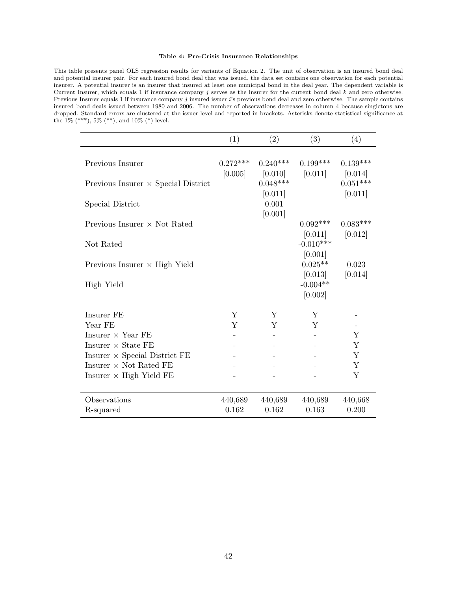#### Table 4: Pre-Crisis Insurance Relationships

This table presents panel OLS regression results for variants of Equation 2. The unit of observation is an insured bond deal and potential insurer pair. For each insured bond deal that was issued, the data set contains one observation for each potential insurer. A potential insurer is an insurer that insured at least one municipal bond in the deal year. The dependent variable is Current Insurer, which equals 1 if insurance company  $j$  serves as the insurer for the current bond deal  $k$  and zero otherwise. Previous Insurer equals 1 if insurance company j insured issuer  $i$ 's previous bond deal and zero otherwise. The sample contains insured bond deals issued between 1980 and 2006. The number of observations decreases in column 4 because singletons are dropped. Standard errors are clustered at the issuer level and reported in brackets. Asterisks denote statistical significance at the  $1\%$  (\*\*\*),  $5\%$  (\*\*), and  $10\%$  (\*) level.

|                                            | (1)                   | (2)                   | (3)                    | (4)                   |
|--------------------------------------------|-----------------------|-----------------------|------------------------|-----------------------|
| Previous Insurer                           | $0.272***$<br>[0.005] | $0.240***$<br>[0.010] | $0.199***$<br>[0.011]  | $0.139***$<br>[0.014] |
| Previous Insurer $\times$ Special District |                       | $0.048***$<br>[0.011] |                        | $0.051***$<br>[0.011] |
| Special District                           |                       | 0.001<br>[0.001]      |                        |                       |
| Previous Insurer $\times$ Not Rated        |                       |                       | $0.092***$<br>[0.011]  | $0.083***$<br>[0.012] |
| Not Rated                                  |                       |                       | $-0.010***$<br>[0.001] |                       |
| Previous Insurer $\times$ High Yield       |                       |                       | $0.025**$<br>[0.013]   | 0.023<br>[0.014]      |
| High Yield                                 |                       |                       | $-0.004**$<br>[0.002]  |                       |
| Insurer FE                                 | Y                     | Y                     | Υ                      |                       |
| Year FE                                    | Y                     | Y                     | Y                      |                       |
| Insurer $\times$ Year FE                   |                       |                       |                        | Y                     |
| Insurer $\times$ State FE                  |                       |                       |                        | $\mathbf Y$           |
| Insurer $\times$ Special District FE       |                       |                       |                        | Y                     |
| Insurer $\times$ Not Rated FE              |                       |                       |                        | Y                     |
| Insurer $\times$ High Yield FE             |                       |                       |                        | Y                     |
| Observations                               | 440,689               | 440,689               | 440,689                | 440,668               |
| R-squared                                  | 0.162                 | 0.162                 | 0.163                  | 0.200                 |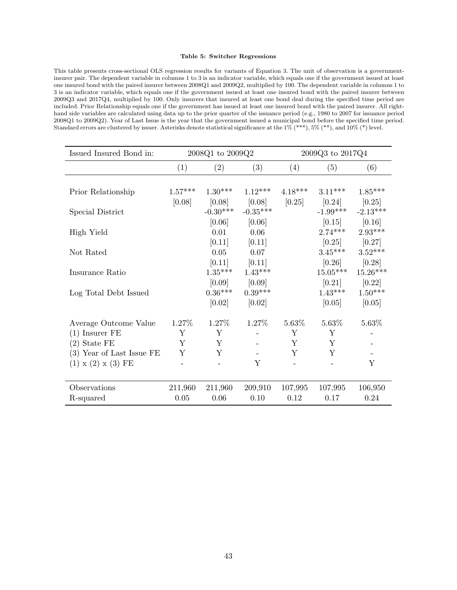#### Table 5: Switcher Regressions

This table presents cross-sectional OLS regression results for variants of Equation 3. The unit of observation is a governmentinsurer pair. The dependent variable in columns 1 to 3 is an indicator variable, which equals one if the government issued at least one insured bond with the paired insurer between 2008Q1 and 2009Q2, multiplied by 100. The dependent variable in columns 1 to 3 is an indicator variable, which equals one if the government issued at least one insured bond with the paired insurer between 2009Q3 and 2017Q4, multiplied by 100. Only insurers that insured at least one bond deal during the specified time period are included. Prior Relationship equals one if the government has issued at least one insured bond with the paired insurer. All righthand side variables are calculated using data up to the prior quarter of the issuance period (e.g., 1980 to 2007 for issuance period 2008Q1 to 2009Q2). Year of Last Issue is the year that the government issued a municipal bond before the specified time period. Standard errors are clustered by issuer. Asterisks denote statistical significance at the 1% (\*\*\*), 5% (\*\*), and 10% (\*) level.

| Issued Insured Bond in:                 |           | 2008Q1 to 2009Q2    |                     | 2009Q3 to 2017Q4 |                      |                      |
|-----------------------------------------|-----------|---------------------|---------------------|------------------|----------------------|----------------------|
|                                         | (1)       | (2)                 | (3)                 | (4)              | (5)                  | (6)                  |
|                                         |           |                     |                     |                  |                      |                      |
| Prior Relationship                      | $1.57***$ | $1.30***$           | $1.12***$           | $4.18***$        | $3.11***$            | $1.85***$            |
|                                         | [0.08]    | [0.08]              | [0.08]              | [0.25]           | [0.24]               | [0.25]               |
| Special District                        |           | $-0.30***$          | $-0.35***$          |                  | $-1.99***$           | $-2.13***$           |
|                                         |           | [0.06]              | [0.06]              |                  | [0.15]               | [0.16]               |
| High Yield                              |           | 0.01                | 0.06                |                  | $2.74***$            | $2.93***$            |
|                                         |           | [0.11]              | [0.11]              |                  | [0.25]               | [0.27]               |
| Not Rated                               |           | 0.05                | 0.07                |                  | $3.45***$            | $3.52***$            |
|                                         |           | [0.11]<br>$1.35***$ | [0.11]<br>$1.43***$ |                  | [0.26]<br>$15.05***$ | [0.28]<br>$15.26***$ |
| Insurance Ratio                         |           | [0.09]              | [0.09]              |                  | [0.21]               | [0.22]               |
| Log Total Debt Issued                   |           | $0.36***$           | $0.39***$           |                  | $1.43***$            | $1.50***$            |
|                                         |           | [0.02]              | [0.02]              |                  | [0.05]               | [0.05]               |
|                                         |           |                     |                     |                  |                      |                      |
| Average Outcome Value                   | 1.27\%    | 1.27%               | 1.27%               | 5.63%            | 5.63%                | 5.63%                |
| $(1)$ Insurer FE                        | Υ         | Y                   |                     | Υ                | Υ                    |                      |
| $(2)$ State FE                          | Y         | Y                   |                     | Y                | Y                    |                      |
| $\left( 3\right)$ Year of Last Issue FE | Υ         | Y                   |                     | Υ                | Y                    |                      |
| $(1) \times (2) \times (3)$ FE          |           |                     | Υ                   |                  |                      | Y                    |
|                                         |           |                     |                     |                  |                      |                      |
| Observations                            | 211,960   | 211,960             | 209,910             | 107,995          | 107,995              | 106,950              |
| R-squared                               | $0.05\,$  | $0.06\,$            | 0.10                | 0.12             | 0.17                 | 0.24                 |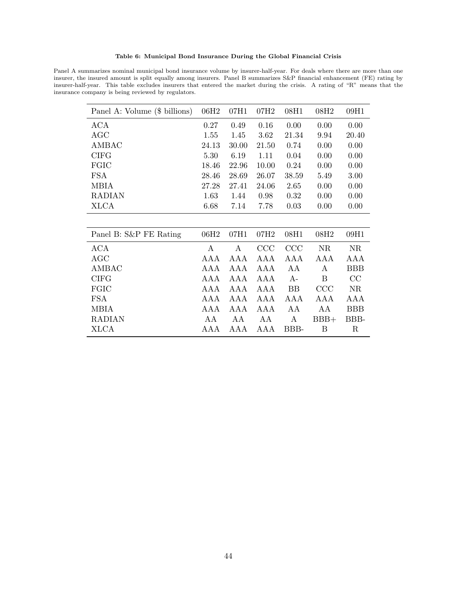Table 6: Municipal Bond Insurance During the Global Financial Crisis

Panel A summarizes nominal municipal bond insurance volume by insurer-half-year. For deals where there are more than one insurer, the insured amount is split equally among insurers. Panel B summarizes S&P financial enhancement (FE) rating by insurer-half-year. This table excludes insurers that entered the market during the crisis. A rating of "R" means that the insurance company is being reviewed by regulators.

| Panel A: Volume (\$ billions) | 06H <sub>2</sub> | 07H1  | 07H <sub>2</sub> | 08H1      | 08H <sub>2</sub> | 09H1       |
|-------------------------------|------------------|-------|------------------|-----------|------------------|------------|
| ACA                           | 0.27             | 0.49  | 0.16             | 0.00      | 0.00             | 0.00       |
| AGC                           | 1.55             | 1.45  | 3.62             | 21.34     | 9.94             | 20.40      |
| AMBAC                         | 24.13            | 30.00 | 21.50            | 0.74      | 0.00             | 0.00       |
| <b>CIFG</b>                   | 5.30             | 6.19  | 1.11             | 0.04      | 0.00             | 0.00       |
| FGIC                          | 18.46            | 22.96 | 10.00            | 0.24      | 0.00             | 0.00       |
| <b>FSA</b>                    | 28.46            | 28.69 | 26.07            | 38.59     | 5.49             | 3.00       |
| <b>MBIA</b>                   | 27.28            | 27.41 | 24.06            | 2.65      | 0.00             | 0.00       |
| <b>RADIAN</b>                 | 1.63             | 1.44  | 0.98             | 0.32      | 0.00             | 0.00       |
| <b>XLCA</b>                   | 6.68             | 7.14  | 7.78             | 0.03      | 0.00             | 0.00       |
|                               |                  |       |                  |           |                  |            |
| Panel B: S&P FE Rating        | 06H <sub>2</sub> | 07H1  | 07H <sub>2</sub> | 08H1      | 08H <sub>2</sub> | 09H1       |
| ACA                           | A                | A     | CCC              | CCC       | <b>NR</b>        | NR         |
| AGC                           | AAA              | AAA   | AAA              | AAA       | AAA              | AAA        |
| AMBAC                         | AAA              | AAA   | AAA              | AA        | A                | <b>BBB</b> |
| <b>CIFG</b>                   | AAA              | AAA   | AAA              | $A-$      | B                | CC         |
| FGIC                          | AAA              | AAA   | AAA              | <b>BB</b> | CCC              | NR         |
| <b>FSA</b>                    | AAA              | AAA   | AAA              | AAA       | AAA              | AAA        |
| <b>MBIA</b>                   | AAA              | AAA   | AAA              | AA        | AA               | <b>BBB</b> |
| <b>RADIAN</b>                 | AА               | AA    | AA               | Α         | $BBB+$           | BBB-       |
| XLCA                          | AAA              | AAA   | AAA              | BBB-      | Β                | $\rm R$    |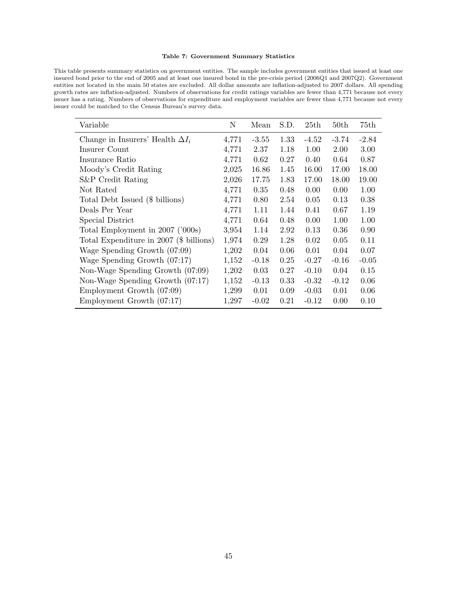#### Table 7: Government Summary Statistics

This table presents summary statistics on government entities. The sample includes government entities that issued at least one insured bond prior to the end of 2005 and at least one insured bond in the pre-crisis period (2006Q1 and 2007Q2). Government entities not located in the main 50 states are excluded. All dollar amounts are inflation-adjusted to 2007 dollars. All spending growth rates are inflation-adjusted. Numbers of observations for credit ratings variables are fewer than 4,771 because not every issuer has a rating. Numbers of observations for expenditure and employment variables are fewer than 4,771 because not every issuer could be matched to the Census Bureau's survey data.

| Variable                                | Ν     | Mean    | S.D. | 25th    | 50th    | 75th    |
|-----------------------------------------|-------|---------|------|---------|---------|---------|
| Change in Insurers' Health $\Delta I_i$ | 4,771 | $-3.55$ | 1.33 | $-4.52$ | $-3.74$ | $-2.84$ |
| Insurer Count                           | 4,771 | 2.37    | 1.18 | 1.00    | 2.00    | 3.00    |
| Insurance Ratio                         | 4,771 | 0.62    | 0.27 | 0.40    | 0.64    | 0.87    |
| Moody's Credit Rating                   | 2,025 | 16.86   | 1.45 | 16.00   | 17.00   | 18.00   |
| S&P Credit Rating                       | 2,026 | 17.75   | 1.83 | 17.00   | 18.00   | 19.00   |
| Not Rated                               | 4,771 | 0.35    | 0.48 | 0.00    | 0.00    | 1.00    |
| Total Debt Issued (\$ billions)         | 4,771 | 0.80    | 2.54 | 0.05    | 0.13    | 0.38    |
| Deals Per Year                          | 4,771 | 1.11    | 1.44 | 0.41    | 0.67    | 1.19    |
| Special District                        | 4,771 | 0.64    | 0.48 | 0.00    | 1.00    | 1.00    |
| Total Employment in 2007 ('000s)        | 3,954 | 1.14    | 2.92 | 0.13    | 0.36    | 0.90    |
| Total Expenditure in 2007 (\$ billions) | 1,974 | 0.29    | 1.28 | 0.02    | 0.05    | 0.11    |
| Wage Spending Growth (07:09)            | 1,202 | 0.04    | 0.06 | 0.01    | 0.04    | 0.07    |
| Wage Spending Growth (07:17)            | 1,152 | $-0.18$ | 0.25 | $-0.27$ | $-0.16$ | $-0.05$ |
| Non-Wage Spending Growth (07:09)        | 1,202 | 0.03    | 0.27 | $-0.10$ | 0.04    | 0.15    |
| Non-Wage Spending Growth (07:17)        | 1,152 | $-0.13$ | 0.33 | $-0.32$ | $-0.12$ | 0.06    |
| Employment Growth (07:09)               | 1,299 | 0.01    | 0.09 | $-0.03$ | 0.01    | 0.06    |
| Employment Growth $(07:17)$             | 1,297 | $-0.02$ | 0.21 | $-0.12$ | 0.00    | 0.10    |
|                                         |       |         |      |         |         |         |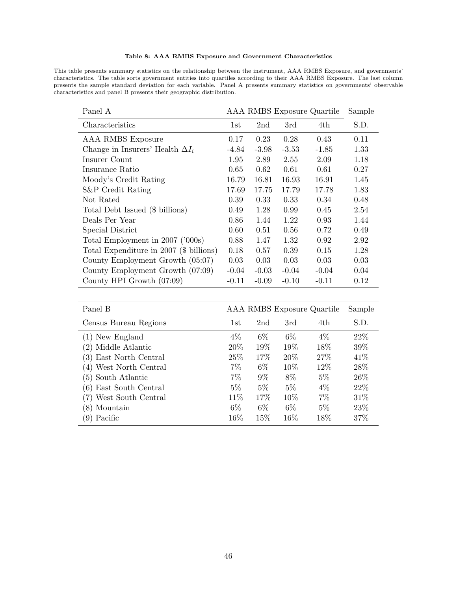#### Table 8: AAA RMBS Exposure and Government Characteristics

This table presents summary statistics on the relationship between the instrument, AAA RMBS Exposure, and governments' characteristics. The table sorts government entities into quartiles according to their AAA RMBS Exposure. The last column presents the sample standard deviation for each variable. Panel A presents summary statistics on governments' observable characteristics and panel B presents their geographic distribution.

| Panel A                                 |         |         |         | AAA RMBS Exposure Quartile | Sample |
|-----------------------------------------|---------|---------|---------|----------------------------|--------|
| Characteristics                         | 1st     | 2nd     | 3rd     | 4th.                       | S.D.   |
| AAA RMBS Exposure                       | 0.17    | 0.23    | 0.28    | 0.43                       | 0.11   |
| Change in Insurers' Health $\Delta I_i$ | $-4.84$ | $-3.98$ | $-3.53$ | $-1.85$                    | 1.33   |
| Insurer Count                           | 1.95    | 2.89    | 2.55    | 2.09                       | 1.18   |
| Insurance Ratio                         | 0.65    | 0.62    | 0.61    | 0.61                       | 0.27   |
| Moody's Credit Rating                   | 16.79   | 16.81   | 16.93   | 16.91                      | 1.45   |
| S&P Credit Rating                       | 17.69   | 17.75   | 17.79   | 17.78                      | 1.83   |
| Not Rated                               | 0.39    | 0.33    | 0.33    | 0.34                       | 0.48   |
| Total Debt Issued (\$ billions)         | 0.49    | 1.28    | 0.99    | 0.45                       | 2.54   |
| Deals Per Year                          | 0.86    | 1.44    | 1.22    | 0.93                       | 1.44   |
| Special District                        | 0.60    | 0.51    | 0.56    | 0.72                       | 0.49   |
| Total Employment in 2007 ('000s)        | 0.88    | 1.47    | 1.32    | 0.92                       | 2.92   |
| Total Expenditure in 2007 (\$ billions) | 0.18    | 0.57    | 0.39    | 0.15                       | 1.28   |
| County Employment Growth (05:07)        | 0.03    | 0.03    | 0.03    | 0.03                       | 0.03   |
| County Employment Growth (07:09)        | $-0.04$ | $-0.03$ | $-0.04$ | $-0.04$                    | 0.04   |
| County HPI Growth $(07:09)$             | $-0.11$ | $-0.09$ | $-0.10$ | $-0.11$                    | 0.12   |

| Panel B                |       |       |       | AAA RMBS Exposure Quartile | Sample |
|------------------------|-------|-------|-------|----------------------------|--------|
| Census Bureau Regions  | 1st   | 2nd   | 3rd   | 4th                        | S.D.   |
| $(1)$ New England      | $4\%$ | $6\%$ | $6\%$ | $4\%$                      | 22\%   |
| (2) Middle Atlantic    | 20%   | 19%   | 19%   | 18%                        | 39%    |
| (3) East North Central | 25\%  | 17%   | 20\%  | 27\%                       | 41\%   |
| (4) West North Central | 7%    | $6\%$ | 10%   | 12\%                       | 28\%   |
| (5) South Atlantic     | $7\%$ | $9\%$ | 8\%   | $5\%$                      | 26\%   |
| (6) East South Central | $5\%$ | $5\%$ | $5\%$ | $4\%$                      | 22\%   |
| (7) West South Central | 11\%  | 17%   | 10%   | 7%                         | 31\%   |
| (8) Mountain           | $6\%$ | $6\%$ | $6\%$ | $5\%$                      | 23\%   |
| (9) Pacific            | 16%   | 15%   | 16\%  | 18\%                       | 37%    |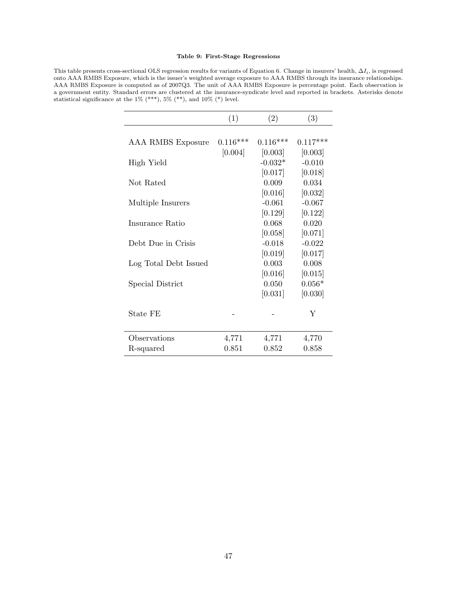#### Table 9: First-Stage Regressions

This table presents cross-sectional OLS regression results for variants of Equation 6. Change in insurers' health,  $\Delta I_i$ , is regressed onto AAA RMBS Exposure, which is the issuer's weighted average exposure to AAA RMBS through its insurance relationships. AAA RMBS Exposure is computed as of 2007Q3. The unit of AAA RMBS Exposure is percentage point. Each observation is a government entity. Standard errors are clustered at the insurance-syndicate level and reported in brackets. Asterisks denote statistical significance at the  $1\%$  (\*\*\*),  $5\%$  (\*\*), and  $10\%$  (\*) level.

|                       | (1)        | (2)        | (3)        |
|-----------------------|------------|------------|------------|
|                       |            |            |            |
| AAA RMBS Exposure     | $0.116***$ | $0.116***$ | $0.117***$ |
|                       | [0.004]    | [0.003]    | [0.003]    |
| High Yield            |            | $-0.032*$  | $-0.010$   |
|                       |            | [0.017]    | [0.018]    |
| Not Rated             |            | 0.009      | 0.034      |
|                       |            | [0.016]    | [0.032]    |
| Multiple Insurers     |            | $-0.061$   | $-0.067$   |
|                       |            | [0.129]    | [0.122]    |
| Insurance Ratio       |            | 0.068      | 0.020      |
|                       |            | [0.058]    | [0.071]    |
| Debt Due in Crisis    |            | $-0.018$   | $-0.022$   |
|                       |            | [0.019]    | [0.017]    |
| Log Total Debt Issued |            | 0.003      | 0.008      |
|                       |            | [0.016]    | [0.015]    |
| Special District      |            | 0.050      | $0.056*$   |
|                       |            | [0.031]    | [0.030]    |
| State FE              |            |            | Y          |
| Observations          | 4,771      | 4,771      | 4,770      |
| R-squared             | 0.851      | 0.852      | 0.858      |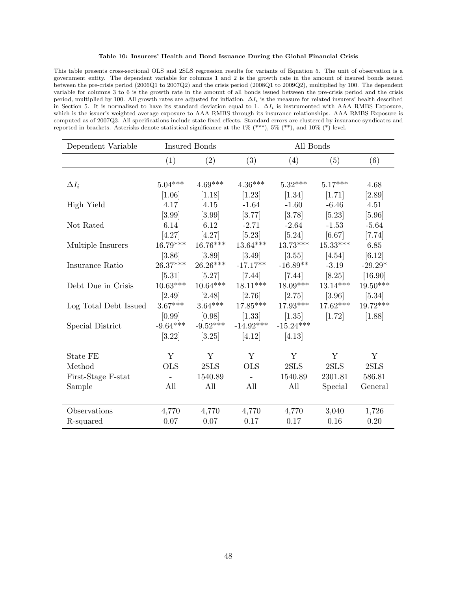#### Table 10: Insurers' Health and Bond Issuance During the Global Financial Crisis

This table presents cross-sectional OLS and 2SLS regression results for variants of Equation 5. The unit of observation is a government entity. The dependent variable for columns 1 and 2 is the growth rate in the amount of insured bonds issued between the pre-crisis period (2006Q1 to 2007Q2) and the crisis period (2008Q1 to 2009Q2), multiplied by 100. The dependent variable for columns 3 to 6 is the growth rate in the amount of all bonds issued between the pre-crisis period and the crisis period, multiplied by 100. All growth rates are adjusted for inflation.  $\Delta I_i$  is the measure for related insurers' health described in Section 5. It is normalized to have its standard deviation equal to 1.  $\Delta I_i$  is instrumented with AAA RMBS Exposure, which is the issuer's weighted average exposure to AAA RMBS through its insurance relationships. AAA RMBS Exposure is computed as of 2007Q3. All specifications include state fixed effects. Standard errors are clustered by insurance syndicates and reported in brackets. Asterisks denote statistical significance at the 1% (\*\*\*), 5% (\*\*), and 10% (\*) level.

| Dependent Variable    |            | <b>Insured Bonds</b><br>All Bonds |             |             |            |            |
|-----------------------|------------|-----------------------------------|-------------|-------------|------------|------------|
|                       | (1)        | (2)                               | (3)         | (4)         | (5)        | (6)        |
|                       |            |                                   |             |             |            |            |
| $\Delta I_i$          | $5.04***$  | $4.69***$                         | $4.36***$   | $5.32***$   | $5.17***$  | 4.68       |
|                       | [1.06]     | [1.18]                            | $[1.23]$    | $[1.34]$    | [1.71]     | [2.89]     |
| High Yield            | 4.17       | 4.15                              | $-1.64$     | $-1.60$     | $-6.46$    | 4.51       |
|                       | [3.99]     | [3.99]                            | [3.77]      | [3.78]      | [5.23]     | [5.96]     |
| Not Rated             | 6.14       | 6.12                              | $-2.71$     | $-2.64$     | $-1.53$    | $-5.64$    |
|                       | [4.27]     | [4.27]                            | $[5.23]$    | [5.24]      | [6.67]     | $[7.74]$   |
| Multiple Insurers     | $16.79***$ | $16.76***$                        | $13.64***$  | $13.73***$  | $15.33***$ | 6.85       |
|                       | [3.86]     | $[3.89]$                          | [3.49]      | [3.55]      | [4.54]     | [6.12]     |
| Insurance Ratio       | $26.37***$ | $26.26***$                        | $-17.17**$  | $-16.89**$  | $-3.19$    | $-29.29*$  |
|                       | $[5.31]$   | [5.27]                            | $[7.44]$    | $[7.44]$    | [8.25]     | [16.90]    |
| Debt Due in Crisis    | $10.63***$ | $10.64***$                        | $18.11***$  | $18.09***$  | $13.14***$ | $19.50***$ |
|                       | [2.49]     | [2.48]                            | [2.76]      | [2.75]      | [3.96]     | $[5.34]$   |
| Log Total Debt Issued | $3.67***$  | $3.64***$                         | $17.85***$  | $17.93***$  | $17.62***$ | $19.72***$ |
|                       | [0.99]     | [0.98]                            | $[1.33]$    | [1.35]      | [1.72]     | $[1.88]$   |
| Special District      | $-9.64***$ | $-9.52***$                        | $-14.92***$ | $-15.24***$ |            |            |
|                       | [3.22]     | [3.25]                            | [4.12]      | [4.13]      |            |            |
| State FE              | Y          | Y                                 | Y           | Y           | Y          | Y          |
| Method                | <b>OLS</b> | 2SLS                              | <b>OLS</b>  | 2SLS        | 2SLS       | 2SLS       |
| First-Stage F-stat    |            | 1540.89                           |             | 1540.89     | 2301.81    | 586.81     |
| Sample                | All        | All                               | All         | All         | Special    | General    |
|                       |            |                                   |             |             |            |            |
| Observations          | 4,770      | 4,770                             | 4,770       | 4,770       | 3,040      | 1,726      |
| R-squared             | 0.07       | 0.07                              | 0.17        | 0.17        | 0.16       | 0.20       |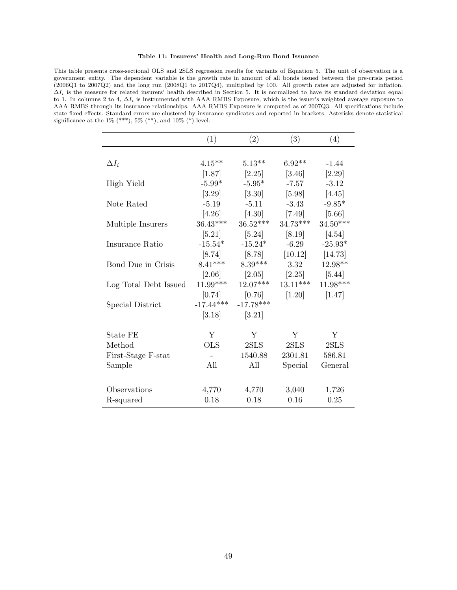#### Table 11: Insurers' Health and Long-Run Bond Issuance

This table presents cross-sectional OLS and 2SLS regression results for variants of Equation 5. The unit of observation is a government entity. The dependent variable is the growth rate in amount of all bonds issued between the pre-crisis period (2006Q1 to 2007Q2) and the long run (2008Q1 to 2017Q4), multiplied by 100. All growth rates are adjusted for inflation.  $\Delta I_i$  is the measure for related insurers' health described in Section 5. It is normalized to have its standard deviation equal to 1. In columns 2 to 4,  $\Delta I_i$  is instrumented with AAA RMBS Exposure, which is the issuer's weighted average exposure to AAA RMBS through its insurance relationships. AAA RMBS Exposure is computed as of 2007Q3. All specifications include state fixed effects. Standard errors are clustered by insurance syndicates and reported in brackets. Asterisks denote statistical significance at the  $1\%$  (\*\*\*),  $5\%$  (\*\*), and  $10\%$  (\*) level.

|                       | (1)         | (2)                 | (3)        | (4)        |
|-----------------------|-------------|---------------------|------------|------------|
|                       |             |                     |            |            |
| $\Delta I_i$          | $4.15***$   | $5.13**$            | $6.92**$   | $-1.44$    |
|                       | [1.87]      | [2.25]              | [3.46]     | [2.29]     |
| High Yield            | $-5.99*$    | $-5.95*$            | $-7.57$    | $-3.12$    |
|                       | [3.29]      | $\left[3.30\right]$ | [5.98]     | [4.45]     |
| Note Rated            | $-5.19$     | $-5.11$             | $-3.43$    | $-9.85*$   |
|                       | [4.26]      | [4.30]              | $[7.49]$   | [5.66]     |
| Multiple Insurers     | $36.43***$  | $36.52***$          | $34.73***$ | $34.50***$ |
|                       | $[5.21]$    | [5.24]              | $[8.19]$   | [4.54]     |
| Insurance Ratio       | $-15.54*$   | $-15.24*$           | $-6.29$    | $-25.93*$  |
|                       | [8.74]      | $[8.78]$            | [10.12]    | [14.73]    |
| Bond Due in Crisis    | $8.41***$   | $8.39***$           | 3.32       | $12.98**$  |
|                       | [2.06]      | [2.05]              | [2.25]     | [5.44]     |
| Log Total Debt Issued | $11.99***$  | $12.07***$          | $13.11***$ | $11.98***$ |
|                       | [0.74]      | [0.76]              | $[1.20]$   | [1.47]     |
| Special District      | $-17.44***$ | $-17.78***$         |            |            |
|                       | [3.18]      | $[3.21]$            |            |            |
|                       |             |                     |            |            |
| State FE              | Y           | Y                   | Y          | Y          |
| Method                | <b>OLS</b>  | 2SLS                | 2SLS       | 2SLS       |
| First-Stage F-stat    |             | 1540.88             | 2301.81    | 586.81     |
| Sample                | All         | All                 | Special    | General    |
|                       |             |                     |            |            |
| Observations          | 4,770       | 4,770               | 3,040      | 1,726      |
| R-squared             | 0.18        | 0.18                | 0.16       | 0.25       |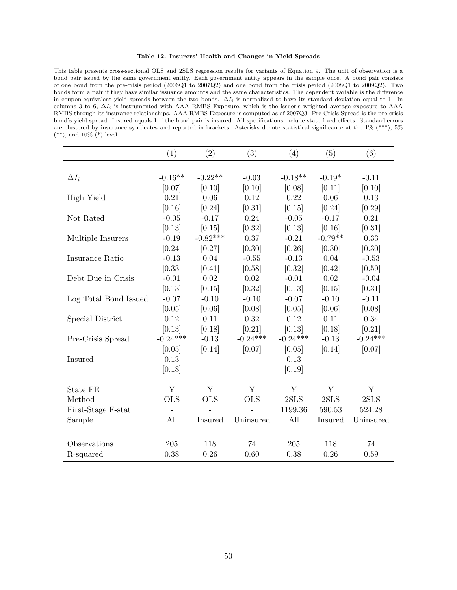#### Table 12: Insurers' Health and Changes in Yield Spreads

This table presents cross-sectional OLS and 2SLS regression results for variants of Equation 9. The unit of observation is a bond pair issued by the same government entity. Each government entity appears in the sample once. A bond pair consists of one bond from the pre-crisis period (2006Q1 to 2007Q2) and one bond from the crisis period (2008Q1 to 2009Q2). Two bonds form a pair if they have similar issuance amounts and the same characteristics. The dependent variable is the difference in coupon-equivalent yield spreads between the two bonds.  $\Delta I_i$  is normalized to have its standard deviation equal to 1. In columns 3 to 6,  $\Delta I_i$  is instrumented with AAA RMBS Exposure, which is the issuer's weighted average exposure to AAA RMBS through its insurance relationships. AAA RMBS Exposure is computed as of 2007Q3. Pre-Crisis Spread is the pre-crisis bond's yield spread. Insured equals 1 if the bond pair is insured. All specifications include state fixed effects. Standard errors are clustered by insurance syndicates and reported in brackets. Asterisks denote statistical significance at the 1% (\*\*\*), 5%  $(**)$ , and 10%  $(*)$  level.

|                       | (1)        | (2)            | (3)        | (4)        | (5)       | (6)        |
|-----------------------|------------|----------------|------------|------------|-----------|------------|
|                       |            |                |            |            |           |            |
| $\Delta I_i$          | $-0.16**$  | $-0.22**$      | $-0.03$    | $-0.18**$  | $-0.19*$  | $-0.11$    |
|                       | [0.07]     | [0.10]         | [0.10]     | [0.08]     | [0.11]    | [0.10]     |
| High Yield            | 0.21       | 0.06           | 0.12       | 0.22       | 0.06      | 0.13       |
|                       | [0.16]     | [0.24]         | [0.31]     | [0.15]     | [0.24]    | [0.29]     |
| Not Rated             | $-0.05$    | $-0.17$        | $0.24\,$   | $-0.05$    | $-0.17$   | 0.21       |
|                       | [0.13]     | [0.15]         | [0.32]     | [0.13]     | [0.16]    | [0.31]     |
| Multiple Insurers     | $-0.19$    | $-0.82***$     | 0.37       | $-0.21$    | $-0.79**$ | 0.33       |
|                       | [0.24]     | [0.27]         | [0.30]     | [0.26]     | [0.30]    | [0.30]     |
| Insurance Ratio       | $-0.13$    | 0.04           | $-0.55$    | $-0.13$    | 0.04      | $-0.53$    |
|                       | [0.33]     | [0.41]         | [0.58]     | [0.32]     | [0.42]    | [0.59]     |
| Debt Due in Crisis    | $-0.01$    | 0.02           | 0.02       | $-0.01$    | 0.02      | $-0.04$    |
|                       | [0.13]     | [0.15]         | [0.32]     | [0.13]     | [0.15]    | [0.31]     |
| Log Total Bond Issued | $-0.07$    | $-0.10$        | $-0.10$    | $-0.07$    | $-0.10$   | $-0.11$    |
|                       | [0.05]     | [0.06]         | [0.08]     | [0.05]     | [0.06]    | [0.08]     |
| Special District      | 0.12       | 0.11           | 0.32       | 0.12       | 0.11      | 0.34       |
|                       | [0.13]     | [0.18]         | [0.21]     | [0.13]     | [0.18]    | [0.21]     |
| Pre-Crisis Spread     | $-0.24***$ | $-0.13$        | $-0.24***$ | $-0.24***$ | $-0.13$   | $-0.24***$ |
|                       | [0.05]     | [0.14]         | [0.07]     | [0.05]     | [0.14]    | [0.07]     |
| Insured               | 0.13       |                |            | 0.13       |           |            |
|                       | [0.18]     |                |            | [0.19]     |           |            |
| State FE              | Y          | Y              | Y          | Y          | Y         | Y          |
| Method                | <b>OLS</b> | <b>OLS</b>     | <b>OLS</b> | 2SLS       | 2SLS      | 2SLS       |
| First-Stage F-stat    |            |                |            | 1199.36    | 590.53    | 524.28     |
| Sample                | All        | <b>Insured</b> | Uninsured  | All        | Insured   | Uninsured  |
|                       |            |                |            |            |           |            |
| Observations          | 205        | 118            | 74         | 205        | 118       | 74         |
| R-squared             | 0.38       | 0.26           | 0.60       | 0.38       | 0.26      | 0.59       |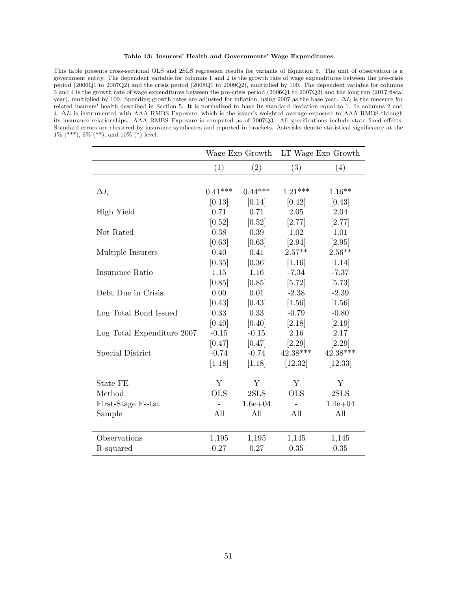#### Table 13: Insurers' Health and Governments' Wage Expenditures

This table presents cross-sectional OLS and 2SLS regression results for variants of Equation 5. The unit of observation is a government entity. The dependent variable for columns 1 and 2 is the growth rate of wage expenditures between the pre-crisis period (2006Q1 to 2007Q2) and the crisis period (2008Q1 to 2009Q2), multiplied by 100. The dependent variable for columns 3 and 4 is the growth rate of wage expenditures between the pre-crisis period (2006Q1 to 2007Q2) and the long run (2017 fiscal year), multiplied by 100. Spending growth rates are adjusted for inflation, using 2007 as the base year.  $\Delta I_i$  is the measure for related insurers' health described in Section 5. It is normalized to have its standard deviation equal to 1. In columns 2 and 4,  $\Delta I_i$  is instrumented with AAA RMBS Exposure, which is the issuer's weighted average exposure to AAA RMBS through its insurance relationships. AAA RMBS Exposure is computed as of 2007Q3. All specifications include state fixed effects. Standard errors are clustered by insurance syndicates and reported in brackets. Asterisks denote statistical significance at the 1% (\*\*\*), 5% (\*\*), and 10% (\*) level.

|                            | Wage Exp Growth |             |            | LT Wage Exp Growth |
|----------------------------|-----------------|-------------|------------|--------------------|
|                            | (1)             | (2)         | (3)        | (4)                |
|                            |                 |             |            |                    |
| $\Delta I_i$               | $0.41***$       | $0.44***$   | $1.21***$  | $1.16**$           |
|                            | [0.13]          | [0.14]      | [0.42]     | [0.43]             |
| High Yield                 | 0.71            | 0.71        | $2.05\,$   | 2.04               |
|                            | [0.52]          | [0.52]      | [2.77]     | [2.77]             |
| Not Rated                  | 0.38            | 0.39        | 1.02       | 1.01               |
|                            | [0.63]          | [0.63]      | $[2.94]$   | [2.95]             |
| Multiple Insurers          | 0.40            | 0.41        | $2.57**$   | $2.56**$           |
|                            | [0.35]          | [0.36]      | [1.16]     | [1.14]             |
| Insurance Ratio            | 1.15            | 1.16        | $-7.34$    | $-7.37$            |
|                            | [0.85]          | [0.85]      | [5.72]     | [5.73]             |
| Debt Due in Crisis         | 0.00            | 0.01        | $-2.38$    | $-2.39$            |
|                            | [0.43]          | [0.43]      | [1.56]     | [1.56]             |
| Log Total Bond Issued      | 0.33            | 0.33        | $-0.79$    | $-0.80$            |
|                            | [0.40]          | [0.40]      | [2.18]     | [2.19]             |
| Log Total Expenditure 2007 | $-0.15$         | $-0.15$     | 2.16       | 2.17               |
|                            | [0.47]          | [0.47]      | [2.29]     | [2.29]             |
| Special District           | $-0.74$         | $-0.74$     | $42.38***$ | $42.38***$         |
|                            | [1.18]          | [1.18]      | [12.32]    | [12.33]            |
| <b>State FE</b>            | Y               | Υ           | Y          | Y                  |
| Method                     | <b>OLS</b>      | 2SLS        | <b>OLS</b> | 2SLS               |
| First-Stage F-stat         |                 | $1.6e + 04$ |            | $1.4e + 04$        |
| Sample                     | All             | All         | All        | All                |
|                            |                 |             |            |                    |
| Observations               | 1,195           | 1,195       | 1,145      | 1,145              |
| R-squared                  | 0.27            | 0.27        | 0.35       | 0.35               |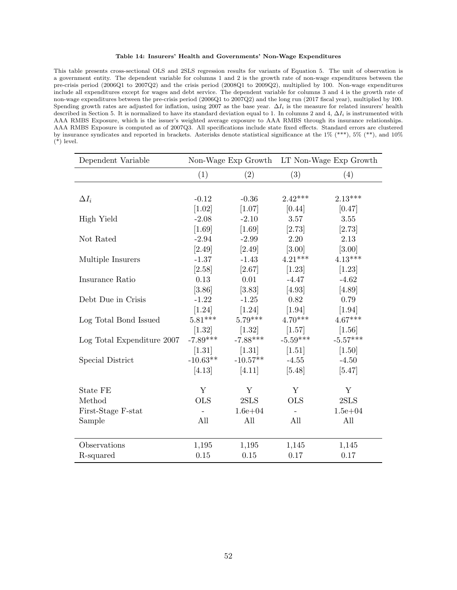#### Table 14: Insurers' Health and Governments' Non-Wage Expenditures

This table presents cross-sectional OLS and 2SLS regression results for variants of Equation 5. The unit of observation is a government entity. The dependent variable for columns 1 and 2 is the growth rate of non-wage expenditures between the pre-crisis period (2006Q1 to 2007Q2) and the crisis period (2008Q1 to 2009Q2), multiplied by 100. Non-wage expenditures include all expenditures except for wages and debt service. The dependent variable for columns 3 and 4 is the growth rate of non-wage expenditures between the pre-crisis period (2006Q1 to 2007Q2) and the long run (2017 fiscal year), multiplied by 100. Spending growth rates are adjusted for inflation, using 2007 as the base year.  $\Delta I_i$  is the measure for related insurers' health described in Section 5. It is normalized to have its standard deviation equal to 1. In columns 2 and 4,  $\Delta I_i$  is instrumented with AAA RMBS Exposure, which is the issuer's weighted average exposure to AAA RMBS through its insurance relationships. AAA RMBS Exposure is computed as of 2007Q3. All specifications include state fixed effects. Standard errors are clustered by insurance syndicates and reported in brackets. Asterisks denote statistical significance at the  $1\%$  (\*\*\*),  $5\%$  (\*\*), and  $10\%$  $(*)$  level.

| Dependent Variable         | Non-Wage Exp Growth |             |                          | LT Non-Wage Exp Growth |
|----------------------------|---------------------|-------------|--------------------------|------------------------|
|                            | (1)                 | (2)         | (3)                      | (4)                    |
|                            |                     |             |                          |                        |
| $\Delta I_i$               | $-0.12$             | $-0.36$     | $2.42***$                | $2.13***$              |
|                            | $[1.02]$            | [1.07]      | [0.44]                   | [0.47]                 |
| High Yield                 | $-2.08$             | $-2.10$     | 3.57                     | 3.55                   |
|                            | $[1.69]$            | [1.69]      | [2.73]                   | [2.73]                 |
| Not Rated                  | $-2.94$             | $-2.99$     | 2.20                     | 2.13                   |
|                            | [2.49]              | [2.49]      | [3.00]                   | $[3.00]$               |
| Multiple Insurers          | $-1.37$             | $-1.43$     | $4.21***$                | $4.13***$              |
|                            | [2.58]              | [2.67]      | $[1.23]$                 | $[1.23]$               |
| Insurance Ratio            | 0.13                | 0.01        | $-4.47$                  | $-4.62$                |
|                            | [3.86]              | [3.83]      | [4.93]                   | [4.89]                 |
| Debt Due in Crisis         | $-1.22$             | $-1.25$     | 0.82                     | 0.79                   |
|                            | $[1.24]$            | $[1.24]$    | $[1.94]$                 | $[1.94]$               |
| Log Total Bond Issued      | $5.81***$           | $5.79***$   | $4.70***$                | $4.67***$              |
|                            | [1.32]              | $[1.32]$    | [1.57]                   | [1.56]                 |
| Log Total Expenditure 2007 | $-7.89***$          | $-7.88***$  | $-5.59***$               | $-5.57***$             |
|                            | [1.31]              | $[1.31]$    | [1.51]                   | [1.50]                 |
| Special District           | $-10.63**$          | $-10.57**$  | $-4.55$                  | $-4.50$                |
|                            | [4.13]              | [4.11]      | [5.48]                   | [5.47]                 |
| <b>State FE</b>            | Y                   | Y           | Y                        | Y                      |
| Method                     | <b>OLS</b>          | 2SLS        | <b>OLS</b>               | 2SLS                   |
| First-Stage F-stat         |                     | $1.6e + 04$ | $\overline{\phantom{a}}$ | $1.5e + 04$            |
| Sample                     | All                 | All         | All                      | All                    |
|                            |                     |             |                          |                        |
| Observations               | 1,195               | 1,195       | 1,145                    | 1,145                  |
| R-squared                  | 0.15                | 0.15        | 0.17                     | 0.17                   |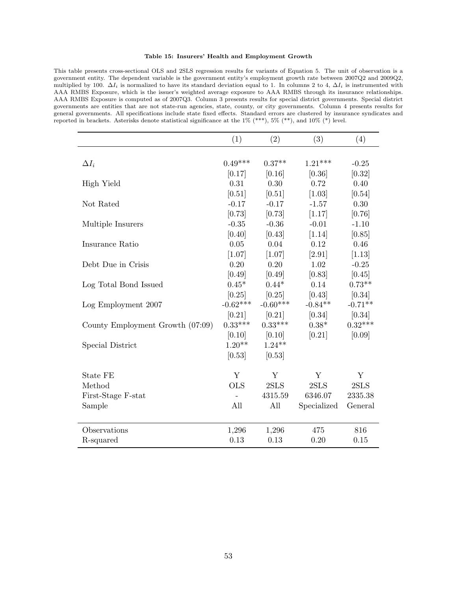#### Table 15: Insurers' Health and Employment Growth

This table presents cross-sectional OLS and 2SLS regression results for variants of Equation 5. The unit of observation is a government entity. The dependent variable is the government entity's employment growth rate between 2007Q2 and 2009Q2, multiplied by 100.  $\Delta I_i$  is normalized to have its standard deviation equal to 1. In columns 2 to 4,  $\Delta I_i$  is instrumented with AAA RMBS Exposure, which is the issuer's weighted average exposure to AAA RMBS through its insurance relationships. AAA RMBS Exposure is computed as of 2007Q3. Column 3 presents results for special district governments. Special district governments are entities that are not state-run agencies, state, county, or city governments. Column 4 presents results for general governments. All specifications include state fixed effects. Standard errors are clustered by insurance syndicates and reported in brackets. Asterisks denote statistical significance at the 1% (\*\*\*), 5% (\*\*), and 10% (\*) level.

|                                  | (1)        | (2)        | (3)         | (4)       |
|----------------------------------|------------|------------|-------------|-----------|
|                                  |            |            |             |           |
| $\Delta I_i$                     | $0.49***$  | $0.37**$   | $1.21***$   | $-0.25$   |
|                                  | [0.17]     | [0.16]     | [0.36]      | [0.32]    |
| High Yield                       | 0.31       | 0.30       | 0.72        | 0.40      |
|                                  | [0.51]     | [0.51]     | [1.03]      | [0.54]    |
| Not Rated                        | $-0.17$    | $-0.17$    | $-1.57$     | 0.30      |
|                                  | [0.73]     | [0.73]     | [1.17]      | [0.76]    |
| Multiple Insurers                | $-0.35$    | $-0.36$    | $-0.01$     | $-1.10$   |
|                                  | [0.40]     | [0.43]     | [1.14]      | [0.85]    |
| Insurance Ratio                  | 0.05       | 0.04       | 0.12        | 0.46      |
|                                  | $[1.07]$   | $[1.07]$   | [2.91]      | $[1.13]$  |
| Debt Due in Crisis               | 0.20       | 0.20       | 1.02        | $-0.25$   |
|                                  | [0.49]     | [0.49]     | [0.83]      | [0.45]    |
| Log Total Bond Issued            | $0.45*$    | $0.44*$    | 0.14        | $0.73**$  |
|                                  | [0.25]     | [0.25]     | [0.43]      | [0.34]    |
| Log Employment 2007              | $-0.62***$ | $-0.60***$ | $-0.84**$   | $-0.71**$ |
|                                  | [0.21]     | [0.21]     | [0.34]      | [0.34]    |
| County Employment Growth (07:09) | $0.33***$  | $0.33***$  | $0.38*$     | $0.32***$ |
|                                  | [0.10]     | [0.10]     | [0.21]      | [0.09]    |
| Special District                 | $1.20**$   | $1.24**$   |             |           |
|                                  | [0.53]     | [0.53]     |             |           |
| State FE                         | Y          | Y          | Y           | Y         |
| Method                           | <b>OLS</b> | 2SLS       | 2SLS        | 2SLS      |
| First-Stage F-stat               |            | 4315.59    | 6346.07     | 2335.38   |
| Sample                           | All        | All        | Specialized | General   |
|                                  |            |            |             |           |
| Observations                     | 1,296      | 1,296      | 475         | 816       |
| R-squared                        | 0.13       | 0.13       | 0.20        | 0.15      |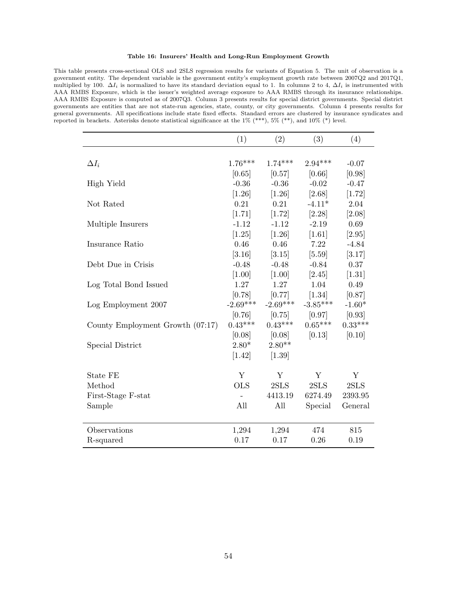#### Table 16: Insurers' Health and Long-Run Employment Growth

This table presents cross-sectional OLS and 2SLS regression results for variants of Equation 5. The unit of observation is a government entity. The dependent variable is the government entity's employment growth rate between 2007Q2 and 2017Q1, multiplied by 100.  $\Delta I_i$  is normalized to have its standard deviation equal to 1. In columns 2 to 4,  $\Delta I_i$  is instrumented with AAA RMBS Exposure, which is the issuer's weighted average exposure to AAA RMBS through its insurance relationships. AAA RMBS Exposure is computed as of 2007Q3. Column 3 presents results for special district governments. Special district governments are entities that are not state-run agencies, state, county, or city governments. Column 4 presents results for general governments. All specifications include state fixed effects. Standard errors are clustered by insurance syndicates and reported in brackets. Asterisks denote statistical significance at the 1% (\*\*\*), 5% (\*\*), and 10% (\*) level.

|                                  | (1)        | (2)        | (3)        | (4)       |
|----------------------------------|------------|------------|------------|-----------|
|                                  |            |            |            |           |
| $\Delta I_i$                     | $1.76***$  | $1.74***$  | $2.94***$  | $-0.07$   |
|                                  | [0.65]     | [0.57]     | [0.66]     | [0.98]    |
| High Yield                       | $-0.36$    | $-0.36$    | $-0.02$    | $-0.47$   |
|                                  | $[1.26]$   | $[1.26]$   | [2.68]     | [1.72]    |
| Not Rated                        | 0.21       | 0.21       | $-4.11*$   | 2.04      |
|                                  | [1.71]     | [1.72]     | [2.28]     | [2.08]    |
| Multiple Insurers                | $-1.12$    | $-1.12$    | $-2.19$    | 0.69      |
|                                  | [1.25]     | $[1.26]$   | $[1.61]$   | [2.95]    |
| Insurance Ratio                  | 0.46       | 0.46       | 7.22       | $-4.84$   |
|                                  | [3.16]     | [3.15]     | [5.59]     | [3.17]    |
| Debt Due in Crisis               | $-0.48$    | $-0.48$    | $-0.84$    | 0.37      |
|                                  | $[1.00]$   | $[1.00]$   | [2.45]     | $[1.31]$  |
| Log Total Bond Issued            | 1.27       | 1.27       | 1.04       | 0.49      |
|                                  | [0.78]     | [0.77]     | $[1.34]$   | [0.87]    |
| Log Employment 2007              | $-2.69***$ | $-2.69***$ | $-3.85***$ | $-1.60*$  |
|                                  | [0.76]     | [0.75]     | [0.97]     | [0.93]    |
| County Employment Growth (07:17) | $0.43***$  | $0.43***$  | $0.65***$  | $0.33***$ |
|                                  | [0.08]     | [0.08]     | [0.13]     | [0.10]    |
| Special District                 | $2.80*$    | $2.80**$   |            |           |
|                                  | $[1.42]$   | $[1.39]$   |            |           |
| State FE                         | Y          | Y          | Y          | Y         |
| Method                           | <b>OLS</b> | 2SLS       | 2SLS       | 2SLS      |
| First-Stage F-stat               |            | 4413.19    | 6274.49    | 2393.95   |
| Sample                           | All        | All        | Special    | General   |
|                                  |            |            |            |           |
| Observations                     | 1,294      | 1,294      | 474        | 815       |
| R-squared                        | 0.17       | 0.17       | 0.26       | 0.19      |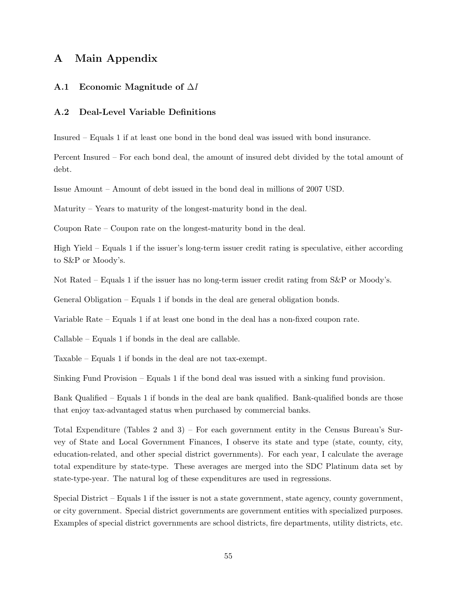# A Main Appendix

# A.1 Economic Magnitude of ∆I

## A.2 Deal-Level Variable Definitions

Insured – Equals 1 if at least one bond in the bond deal was issued with bond insurance.

Percent Insured – For each bond deal, the amount of insured debt divided by the total amount of debt.

Issue Amount – Amount of debt issued in the bond deal in millions of 2007 USD.

Maturity – Years to maturity of the longest-maturity bond in the deal.

Coupon Rate – Coupon rate on the longest-maturity bond in the deal.

High Yield – Equals 1 if the issuer's long-term issuer credit rating is speculative, either according to S&P or Moody's.

Not Rated – Equals 1 if the issuer has no long-term issuer credit rating from S&P or Moody's.

General Obligation – Equals 1 if bonds in the deal are general obligation bonds.

Variable Rate – Equals 1 if at least one bond in the deal has a non-fixed coupon rate.

Callable – Equals 1 if bonds in the deal are callable.

Taxable – Equals 1 if bonds in the deal are not tax-exempt.

Sinking Fund Provision – Equals 1 if the bond deal was issued with a sinking fund provision.

Bank Qualified – Equals 1 if bonds in the deal are bank qualified. Bank-qualified bonds are those that enjoy tax-advantaged status when purchased by commercial banks.

Total Expenditure (Tables 2 and 3) – For each government entity in the Census Bureau's Survey of State and Local Government Finances, I observe its state and type (state, county, city, education-related, and other special district governments). For each year, I calculate the average total expenditure by state-type. These averages are merged into the SDC Platinum data set by state-type-year. The natural log of these expenditures are used in regressions.

Special District – Equals 1 if the issuer is not a state government, state agency, county government, or city government. Special district governments are government entities with specialized purposes. Examples of special district governments are school districts, fire departments, utility districts, etc.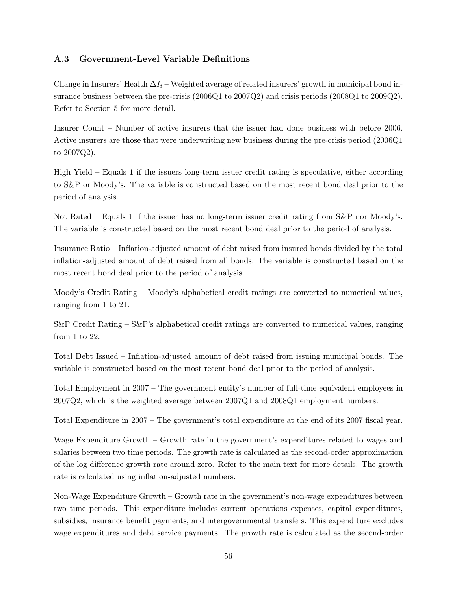# A.3 Government-Level Variable Definitions

Change in Insurers' Health  $\Delta I_i$  – Weighted average of related insurers' growth in municipal bond insurance business between the pre-crisis (2006Q1 to 2007Q2) and crisis periods (2008Q1 to 2009Q2). Refer to Section 5 for more detail.

Insurer Count – Number of active insurers that the issuer had done business with before 2006. Active insurers are those that were underwriting new business during the pre-crisis period (2006Q1 to 2007Q2).

High Yield – Equals 1 if the issuers long-term issuer credit rating is speculative, either according to S&P or Moody's. The variable is constructed based on the most recent bond deal prior to the period of analysis.

Not Rated – Equals 1 if the issuer has no long-term issuer credit rating from S&P nor Moody's. The variable is constructed based on the most recent bond deal prior to the period of analysis.

Insurance Ratio – Inflation-adjusted amount of debt raised from insured bonds divided by the total inflation-adjusted amount of debt raised from all bonds. The variable is constructed based on the most recent bond deal prior to the period of analysis.

Moody's Credit Rating – Moody's alphabetical credit ratings are converted to numerical values, ranging from 1 to 21.

 $S\&P$  Credit Rating –  $S\&P$ 's alphabetical credit ratings are converted to numerical values, ranging from 1 to 22.

Total Debt Issued – Inflation-adjusted amount of debt raised from issuing municipal bonds. The variable is constructed based on the most recent bond deal prior to the period of analysis.

Total Employment in 2007 – The government entity's number of full-time equivalent employees in 2007Q2, which is the weighted average between 2007Q1 and 2008Q1 employment numbers.

Total Expenditure in 2007 – The government's total expenditure at the end of its 2007 fiscal year.

Wage Expenditure Growth – Growth rate in the government's expenditures related to wages and salaries between two time periods. The growth rate is calculated as the second-order approximation of the log difference growth rate around zero. Refer to the main text for more details. The growth rate is calculated using inflation-adjusted numbers.

Non-Wage Expenditure Growth – Growth rate in the government's non-wage expenditures between two time periods. This expenditure includes current operations expenses, capital expenditures, subsidies, insurance benefit payments, and intergovernmental transfers. This expenditure excludes wage expenditures and debt service payments. The growth rate is calculated as the second-order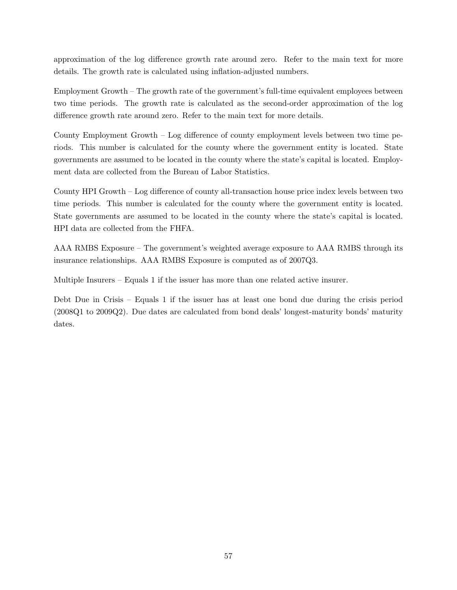approximation of the log difference growth rate around zero. Refer to the main text for more details. The growth rate is calculated using inflation-adjusted numbers.

Employment Growth – The growth rate of the government's full-time equivalent employees between two time periods. The growth rate is calculated as the second-order approximation of the log difference growth rate around zero. Refer to the main text for more details.

County Employment Growth – Log difference of county employment levels between two time periods. This number is calculated for the county where the government entity is located. State governments are assumed to be located in the county where the state's capital is located. Employment data are collected from the Bureau of Labor Statistics.

County HPI Growth – Log difference of county all-transaction house price index levels between two time periods. This number is calculated for the county where the government entity is located. State governments are assumed to be located in the county where the state's capital is located. HPI data are collected from the FHFA.

AAA RMBS Exposure – The government's weighted average exposure to AAA RMBS through its insurance relationships. AAA RMBS Exposure is computed as of 2007Q3.

Multiple Insurers – Equals 1 if the issuer has more than one related active insurer.

Debt Due in Crisis – Equals 1 if the issuer has at least one bond due during the crisis period (2008Q1 to 2009Q2). Due dates are calculated from bond deals' longest-maturity bonds' maturity dates.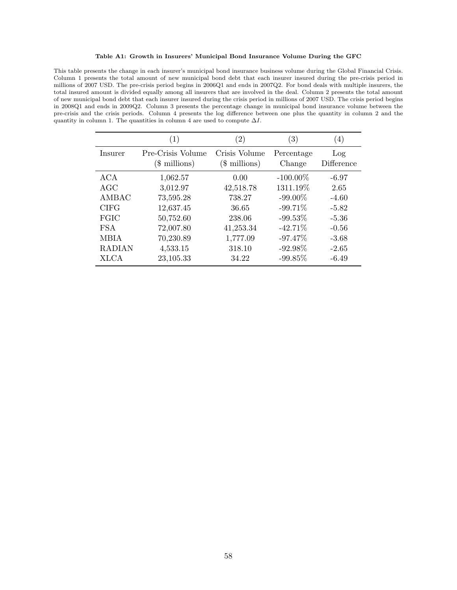#### Table A1: Growth in Insurers' Municipal Bond Insurance Volume During the GFC

This table presents the change in each insurer's municipal bond insurance business volume during the Global Financial Crisis. Column 1 presents the total amount of new municipal bond debt that each insurer insured during the pre-crisis period in millions of 2007 USD. The pre-crisis period begins in 2006Q1 and ends in 2007Q2. For bond deals with multiple insurers, the total insured amount is divided equally among all insurers that are involved in the deal. Column 2 presents the total amount of new municipal bond debt that each insurer insured during the crisis period in millions of 2007 USD. The crisis period begins in 2008Q1 and ends in 2009Q2. Column 3 presents the percentage change in municipal bond insurance volume between the pre-crisis and the crisis periods. Column 4 presents the log difference between one plus the quantity in column 2 and the quantity in column 1. The quantities in column 4 are used to compute  $\Delta I$ .

|               | $\left( 1\right)$                   | $\left( 2\right)$               | $\left(3\right)$     | (4)               |
|---------------|-------------------------------------|---------------------------------|----------------------|-------------------|
| Insurer       | Pre-Crisis Volume<br>$($$ millions) | Crisis Volume<br>$($$ millions) | Percentage<br>Change | Log<br>Difference |
| ACA           | 1,062.57                            | 0.00                            | $-100.00\%$          | $-6.97$           |
| AGC           | 3,012.97                            | 42,518.78                       | 1311.19%             | 2.65              |
| AMBAC         | 73,595.28                           | 738.27                          | $-99.00\%$           | $-4.60$           |
| <b>CIFG</b>   | 12,637.45                           | 36.65                           | $-99.71\%$           | $-5.82$           |
| FGIC          | 50,752.60                           | 238.06                          | $-99.53\%$           | $-5.36$           |
| <b>FSA</b>    | 72,007.80                           | 41,253.34                       | $-42.71%$            | $-0.56$           |
| MBIA          | 70,230.89                           | 1,777.09                        | $-97.47%$            | $-3.68$           |
| <b>RADIAN</b> | 4,533.15                            | 318.10                          | $-92.98\%$           | $-2.65$           |
| <b>XLCA</b>   | 23,105.33                           | 34.22                           | $-99.85%$            | $-6.49$           |